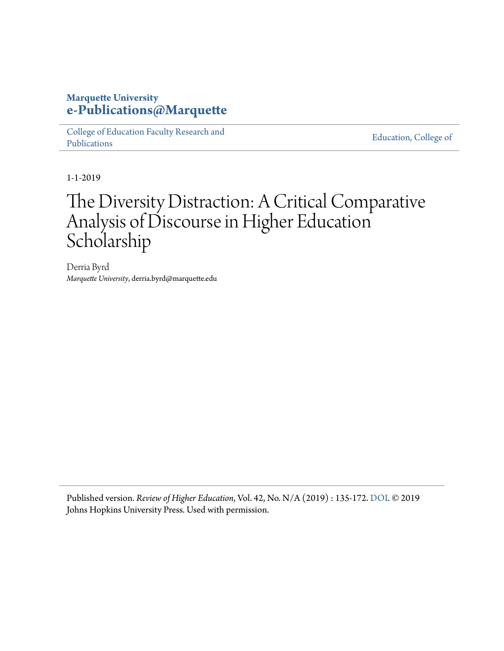# **Marquette University [e-Publications@Marquette](https://epublications.marquette.edu/)**

[College of Education Faculty Research and](https://epublications.marquette.edu/edu_fac) [Publications](https://epublications.marquette.edu/edu_fac)

[Education, College of](https://epublications.marquette.edu/education)

1-1-2019

# The Diversity Distraction: A Critical Comparative Analysis of Discourse in Higher Education Scholarship

Derria Byrd *Marquette University*, derria.byrd@marquette.edu

Published version. *Review of Higher Education*, Vol. 42, No. N/A (2019) : 135-172. [DOI](https://muse.jhu.edu/article/724914#bio_wrap). © 2019 Johns Hopkins University Press. Used with permission.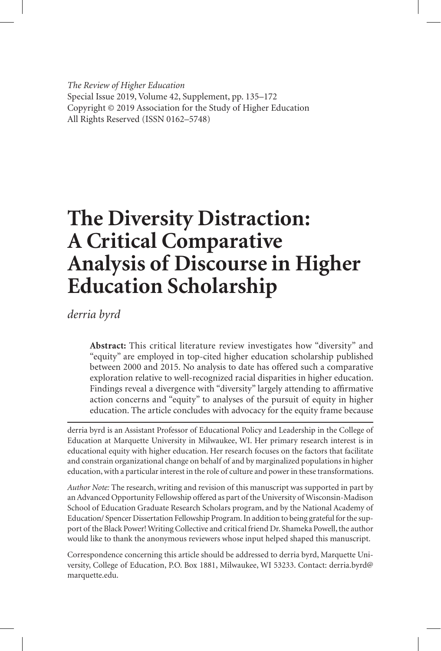*The Review of Higher Education* Special Issue 2019, Volume 42, Supplement, pp. 135–172 Copyright © 2019 Association for the Study of Higher Education All Rights Reserved (ISSN 0162–5748)

# **The Diversity Distraction: A Critical Comparative Analysis of Discourse in Higher Education Scholarship**

*derria byrd*

**Abstract:** This critical literature review investigates how "diversity" and "equity" are employed in top-cited higher education scholarship published between 2000 and 2015. No analysis to date has offered such a comparative exploration relative to well-recognized racial disparities in higher education. Findings reveal a divergence with "diversity" largely attending to affirmative action concerns and "equity" to analyses of the pursuit of equity in higher education. The article concludes with advocacy for the equity frame because

derria byrd is an Assistant Professor of Educational Policy and Leadership in the College of Education at Marquette University in Milwaukee, WI. Her primary research interest is in educational equity with higher education. Her research focuses on the factors that facilitate and constrain organizational change on behalf of and by marginalized populations in higher education, with a particular interest in the role of culture and power in these transformations.

*Author Note:* The research, writing and revision of this manuscript was supported in part by an Advanced Opportunity Fellowship offered as part of the University of Wisconsin-Madison School of Education Graduate Research Scholars program, and by the National Academy of Education/ Spencer Dissertation Fellowship Program. In addition to being grateful for the support of the Black Power! Writing Collective and critical friend Dr. Shameka Powell, the author would like to thank the anonymous reviewers whose input helped shaped this manuscript.

Correspondence concerning this article should be addressed to derria byrd, Marquette University, College of Education, P.O. Box 1881, Milwaukee, WI 53233. Contact: derria.byrd@ marquette.edu.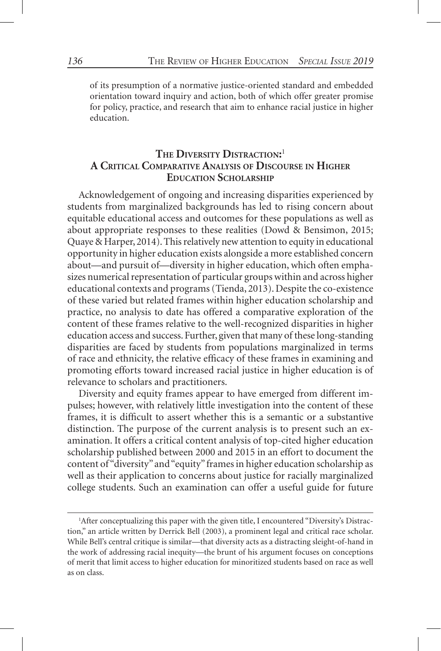of its presumption of a normative justice-oriented standard and embedded orientation toward inquiry and action, both of which offer greater promise for policy, practice, and research that aim to enhance racial justice in higher education.

# **The Diversity Distraction:** 1 **A Critical Comparative Analysis of Discourse in Higher Education Scholarship**

Acknowledgement of ongoing and increasing disparities experienced by students from marginalized backgrounds has led to rising concern about equitable educational access and outcomes for these populations as well as about appropriate responses to these realities (Dowd & Bensimon, 2015; Quaye & Harper, 2014). This relatively new attention to equity in educational opportunity in higher education exists alongside a more established concern about—and pursuit of—diversity in higher education, which often emphasizes numerical representation of particular groups within and across higher educational contexts and programs (Tienda, 2013). Despite the co-existence of these varied but related frames within higher education scholarship and practice, no analysis to date has offered a comparative exploration of the content of these frames relative to the well-recognized disparities in higher education access and success. Further, given that many of these long-standing disparities are faced by students from populations marginalized in terms of race and ethnicity, the relative efficacy of these frames in examining and promoting efforts toward increased racial justice in higher education is of relevance to scholars and practitioners.

Diversity and equity frames appear to have emerged from different impulses; however, with relatively little investigation into the content of these frames, it is difficult to assert whether this is a semantic or a substantive distinction. The purpose of the current analysis is to present such an examination. It offers a critical content analysis of top-cited higher education scholarship published between 2000 and 2015 in an effort to document the content of "diversity" and "equity" frames in higher education scholarship as well as their application to concerns about justice for racially marginalized college students. Such an examination can offer a useful guide for future

<sup>&</sup>lt;sup>1</sup>After conceptualizing this paper with the given title, I encountered "Diversity's Distraction," an article written by Derrick Bell (2003), a prominent legal and critical race scholar. While Bell's central critique is similar—that diversity acts as a distracting sleight-of-hand in the work of addressing racial inequity—the brunt of his argument focuses on conceptions of merit that limit access to higher education for minoritized students based on race as well as on class.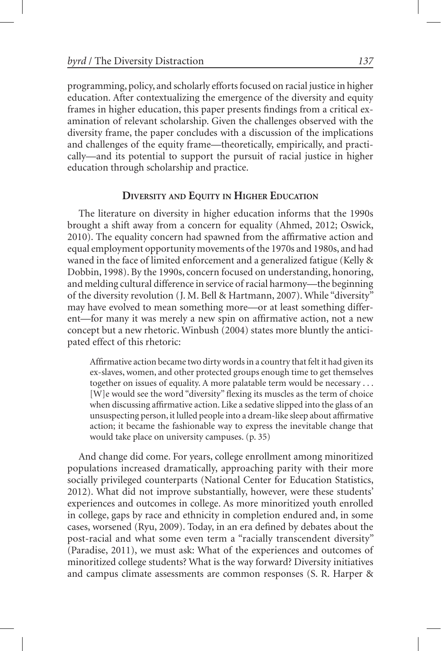programming, policy, and scholarly efforts focused on racial justice in higher education. After contextualizing the emergence of the diversity and equity frames in higher education, this paper presents findings from a critical examination of relevant scholarship. Given the challenges observed with the diversity frame, the paper concludes with a discussion of the implications and challenges of the equity frame—theoretically, empirically, and practically—and its potential to support the pursuit of racial justice in higher education through scholarship and practice.

# **Diversity and Equity in Higher Education**

The literature on diversity in higher education informs that the 1990s brought a shift away from a concern for equality (Ahmed, 2012; Oswick, 2010). The equality concern had spawned from the affirmative action and equal employment opportunity movements of the 1970s and 1980s, and had waned in the face of limited enforcement and a generalized fatigue (Kelly & Dobbin, 1998). By the 1990s, concern focused on understanding, honoring, and melding cultural difference in service of racial harmony—the beginning of the diversity revolution (J. M. Bell & Hartmann, 2007). While "diversity" may have evolved to mean something more—or at least something different—for many it was merely a new spin on affirmative action, not a new concept but a new rhetoric. Winbush (2004) states more bluntly the anticipated effect of this rhetoric:

Affirmative action became two dirty words in a country that felt it had given its ex-slaves, women, and other protected groups enough time to get themselves together on issues of equality. A more palatable term would be necessary . . . [W]e would see the word "diversity" flexing its muscles as the term of choice when discussing affirmative action. Like a sedative slipped into the glass of an unsuspecting person, it lulled people into a dream-like sleep about affirmative action; it became the fashionable way to express the inevitable change that would take place on university campuses. (p. 35)

And change did come. For years, college enrollment among minoritized populations increased dramatically, approaching parity with their more socially privileged counterparts (National Center for Education Statistics, 2012). What did not improve substantially, however, were these students' experiences and outcomes in college. As more minoritized youth enrolled in college, gaps by race and ethnicity in completion endured and, in some cases, worsened (Ryu, 2009). Today, in an era defined by debates about the post-racial and what some even term a "racially transcendent diversity" (Paradise, 2011), we must ask: What of the experiences and outcomes of minoritized college students? What is the way forward? Diversity initiatives and campus climate assessments are common responses (S. R. Harper &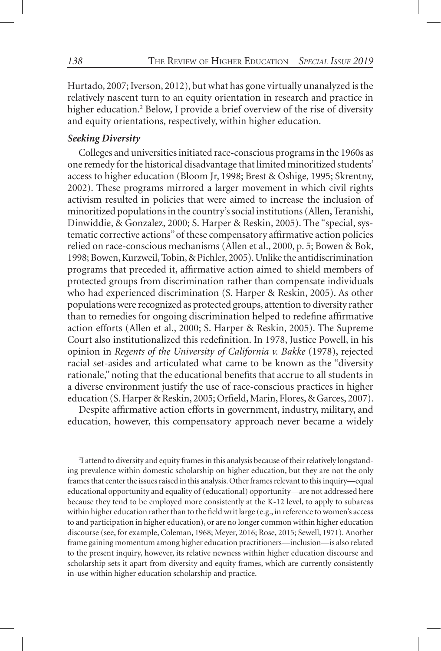Hurtado, 2007; Iverson, 2012), but what has gone virtually unanalyzed is the relatively nascent turn to an equity orientation in research and practice in higher education.<sup>2</sup> Below, I provide a brief overview of the rise of diversity and equity orientations, respectively, within higher education.

# *Seeking Diversity*

Colleges and universities initiated race-conscious programs in the 1960s as one remedy for the historical disadvantage that limited minoritized students' access to higher education (Bloom Jr, 1998; Brest & Oshige, 1995; Skrentny, 2002). These programs mirrored a larger movement in which civil rights activism resulted in policies that were aimed to increase the inclusion of minoritized populations in the country's social institutions (Allen, Teranishi, Dinwiddie, & Gonzalez, 2000; S. Harper & Reskin, 2005). The "special, systematic corrective actions" of these compensatory affirmative action policies relied on race-conscious mechanisms (Allen et al., 2000, p. 5; Bowen & Bok, 1998; Bowen, Kurzweil, Tobin, & Pichler, 2005). Unlike the antidiscrimination programs that preceded it, affirmative action aimed to shield members of protected groups from discrimination rather than compensate individuals who had experienced discrimination (S. Harper & Reskin, 2005). As other populations were recognized as protected groups, attention to diversity rather than to remedies for ongoing discrimination helped to redefine affirmative action efforts (Allen et al., 2000; S. Harper & Reskin, 2005). The Supreme Court also institutionalized this redefinition. In 1978, Justice Powell, in his opinion in *Regents of the University of California v. Bakke* (1978), rejected racial set-asides and articulated what came to be known as the "diversity rationale," noting that the educational benefits that accrue to all students in a diverse environment justify the use of race-conscious practices in higher education (S. Harper & Reskin, 2005; Orfield, Marin, Flores, & Garces, 2007).

Despite affirmative action efforts in government, industry, military, and education, however, this compensatory approach never became a widely

<sup>&</sup>lt;sup>2</sup>I attend to diversity and equity frames in this analysis because of their relatively longstanding prevalence within domestic scholarship on higher education, but they are not the only frames that center the issues raised in this analysis. Other frames relevant to this inquiry—equal educational opportunity and equality of (educational) opportunity—are not addressed here because they tend to be employed more consistently at the K-12 level, to apply to subareas within higher education rather than to the field writ large (e.g., in reference to women's access to and participation in higher education), or are no longer common within higher education discourse (see, for example, Coleman, 1968; Meyer, 2016; Rose, 2015; Sewell, 1971). Another frame gaining momentum among higher education practitioners—inclusion—is also related to the present inquiry, however, its relative newness within higher education discourse and scholarship sets it apart from diversity and equity frames, which are currently consistently in-use within higher education scholarship and practice.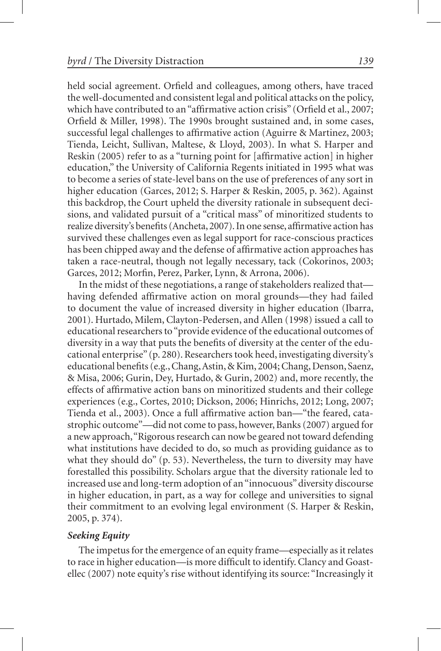held social agreement. Orfield and colleagues, among others, have traced the well-documented and consistent legal and political attacks on the policy, which have contributed to an "affirmative action crisis" (Orfield et al., 2007; Orfield & Miller, 1998). The 1990s brought sustained and, in some cases, successful legal challenges to affirmative action (Aguirre & Martinez, 2003; Tienda, Leicht, Sullivan, Maltese, & Lloyd, 2003). In what S. Harper and Reskin (2005) refer to as a "turning point for [affirmative action] in higher education," the University of California Regents initiated in 1995 what was to become a series of state-level bans on the use of preferences of any sort in higher education (Garces, 2012; S. Harper & Reskin, 2005, p. 362). Against this backdrop, the Court upheld the diversity rationale in subsequent decisions, and validated pursuit of a "critical mass" of minoritized students to realize diversity's benefits (Ancheta, 2007). In one sense, affirmative action has survived these challenges even as legal support for race-conscious practices has been chipped away and the defense of affirmative action approaches has taken a race-neutral, though not legally necessary, tack (Cokorinos, 2003; Garces, 2012; Morfin, Perez, Parker, Lynn, & Arrona, 2006).

In the midst of these negotiations, a range of stakeholders realized that having defended affirmative action on moral grounds—they had failed to document the value of increased diversity in higher education (Ibarra, 2001). Hurtado, Milem, Clayton-Pedersen, and Allen (1998) issued a call to educational researchers to "provide evidence of the educational outcomes of diversity in a way that puts the benefits of diversity at the center of the educational enterprise" (p. 280). Researchers took heed, investigating diversity's educational benefits (e.g., Chang, Astin, & Kim, 2004; Chang, Denson, Saenz, & Misa, 2006; Gurin, Dey, Hurtado, & Gurin, 2002) and, more recently, the effects of affirmative action bans on minoritized students and their college experiences (e.g., Cortes, 2010; Dickson, 2006; Hinrichs, 2012; Long, 2007; Tienda et al., 2003). Once a full affirmative action ban—"the feared, catastrophic outcome"—did not come to pass, however, Banks (2007) argued for a new approach, "Rigorous research can now be geared not toward defending what institutions have decided to do, so much as providing guidance as to what they should do" (p. 53). Nevertheless, the turn to diversity may have forestalled this possibility. Scholars argue that the diversity rationale led to increased use and long-term adoption of an "innocuous" diversity discourse in higher education, in part, as a way for college and universities to signal their commitment to an evolving legal environment (S. Harper & Reskin, 2005, p. 374).

# *Seeking Equity*

The impetus for the emergence of an equity frame—especially as it relates to race in higher education—is more difficult to identify. Clancy and Goastellec (2007) note equity's rise without identifying its source: "Increasingly it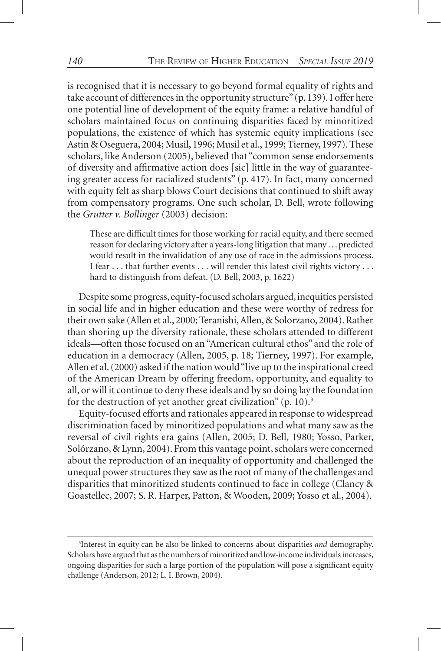is recognised that it is necessary to go beyond formal equality of rights and take account of differences in the opportunity structure" (p. 139). I offer here one potential line of development of the equity frame: a relative handful of scholars maintained focus on continuing disparities faced by minoritized populations, the existence of which has systemic equity implications (see Astin & Oseguera, 2004; Musil, 1996; Musil et al., 1999; Tierney, 1997). These scholars, like Anderson (2005), believed that "common sense endorsements of diversity and affirmative action does [sic] little in the way of guaranteeing greater access for racialized students" (p. 417). In fact, many concerned with equity felt as sharp blows Court decisions that continued to shift away from compensatory programs. One such scholar, D. Bell, wrote following the *Grutter v. Bollinger* (2003) decision:

These are difficult times for those working for racial equity, and there seemed reason for declaring victory after a years-long litigation that many . . . predicted would result in the invalidation of any use of race in the admissions process. I fear . . . that further events . . . will render this latest civil rights victory . . . hard to distinguish from defeat. (D. Bell, 2003, p. 1622)

Despite some progress, equity-focused scholars argued, inequities persisted in social life and in higher education and these were worthy of redress for their own sake (Allen et al., 2000; Teranishi, Allen, & Solorzano, 2004). Rather than shoring up the diversity rationale, these scholars attended to different ideals—often those focused on an "American cultural ethos" and the role of education in a democracy (Allen, 2005, p. 18; Tierney, 1997). For example, Allen et al. (2000) asked if the nation would "live up to the inspirational creed of the American Dream by offering freedom, opportunity, and equality to all, or will it continue to deny these ideals and by so doing lay the foundation for the destruction of yet another great civilization" (p. 10).<sup>3</sup>

Equity-focused efforts and rationales appeared in response to widespread discrimination faced by minoritized populations and what many saw as the reversal of civil rights era gains (Allen, 2005; D. Bell, 1980; Yosso, Parker, Solórzano, & Lynn, 2004). From this vantage point, scholars were concerned about the reproduction of an inequality of opportunity and challenged the unequal power structures they saw as the root of many of the challenges and disparities that minoritized students continued to face in college (Clancy & Goastellec, 2007; S. R. Harper, Patton, & Wooden, 2009; Yosso et al., 2004).

<sup>3</sup> Interest in equity can be also be linked to concerns about disparities *and* demography. Scholars have argued that as the numbers of minoritized and low-income individuals increases, ongoing disparities for such a large portion of the population will pose a significant equity challenge (Anderson, 2012; L. I. Brown, 2004).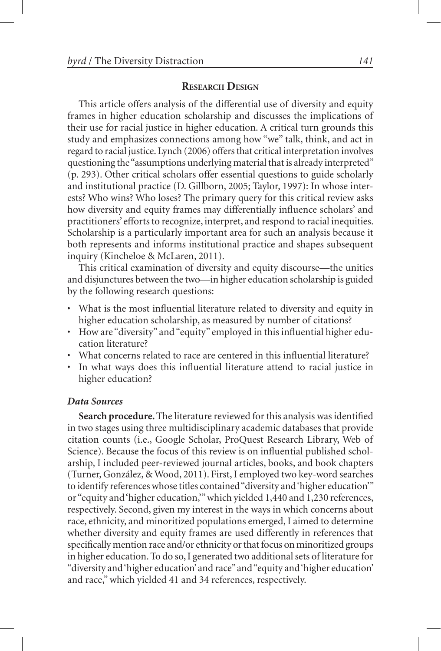# **Research Design**

This article offers analysis of the differential use of diversity and equity frames in higher education scholarship and discusses the implications of their use for racial justice in higher education. A critical turn grounds this study and emphasizes connections among how "we" talk, think, and act in regard to racial justice. Lynch (2006) offers that critical interpretation involves questioning the "assumptions underlying material that is already interpreted" (p. 293). Other critical scholars offer essential questions to guide scholarly and institutional practice (D. Gillborn, 2005; Taylor, 1997): In whose interests? Who wins? Who loses? The primary query for this critical review asks how diversity and equity frames may differentially influence scholars' and practitioners' efforts to recognize, interpret, and respond to racial inequities. Scholarship is a particularly important area for such an analysis because it both represents and informs institutional practice and shapes subsequent inquiry (Kincheloe & McLaren, 2011).

This critical examination of diversity and equity discourse—the unities and disjunctures between the two—in higher education scholarship is guided by the following research questions:

- What is the most influential literature related to diversity and equity in higher education scholarship, as measured by number of citations?
- How are "diversity" and "equity" employed in this influential higher education literature?
- What concerns related to race are centered in this influential literature?
- In what ways does this influential literature attend to racial justice in higher education?

# *Data Sources*

**Search procedure.** The literature reviewed for this analysis was identified in two stages using three multidisciplinary academic databases that provide citation counts (i.e., Google Scholar, ProQuest Research Library, Web of Science). Because the focus of this review is on influential published scholarship, I included peer-reviewed journal articles, books, and book chapters (Turner, González, & Wood, 2011). First, I employed two key-word searches to identify references whose titles contained "diversity and 'higher education'" or "equity and 'higher education,'" which yielded 1,440 and 1,230 references, respectively. Second, given my interest in the ways in which concerns about race, ethnicity, and minoritized populations emerged, I aimed to determine whether diversity and equity frames are used differently in references that specifically mention race and/or ethnicity or that focus on minoritized groups in higher education. To do so, I generated two additional sets of literature for "diversity and 'higher education' and race" and "equity and 'higher education' and race," which yielded 41 and 34 references, respectively.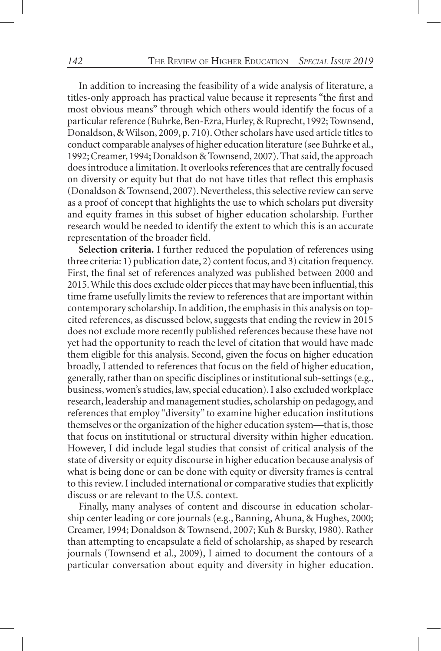In addition to increasing the feasibility of a wide analysis of literature, a titles-only approach has practical value because it represents "the first and most obvious means" through which others would identify the focus of a particular reference (Buhrke, Ben-Ezra, Hurley, & Ruprecht, 1992; Townsend, Donaldson, & Wilson, 2009, p. 710). Other scholars have used article titles to conduct comparable analyses of higher education literature (see Buhrke et al., 1992; Creamer, 1994; Donaldson & Townsend, 2007). That said, the approach does introduce a limitation. It overlooks references that are centrally focused on diversity or equity but that do not have titles that reflect this emphasis (Donaldson & Townsend, 2007). Nevertheless, this selective review can serve as a proof of concept that highlights the use to which scholars put diversity and equity frames in this subset of higher education scholarship. Further research would be needed to identify the extent to which this is an accurate representation of the broader field.

**Selection criteria.** I further reduced the population of references using three criteria: 1) publication date, 2) content focus, and 3) citation frequency. First, the final set of references analyzed was published between 2000 and 2015. While this does exclude older pieces that may have been influential, this time frame usefully limits the review to references that are important within contemporary scholarship. In addition, the emphasis in this analysis on topcited references, as discussed below, suggests that ending the review in 2015 does not exclude more recently published references because these have not yet had the opportunity to reach the level of citation that would have made them eligible for this analysis. Second, given the focus on higher education broadly, I attended to references that focus on the field of higher education, generally, rather than on specific disciplines or institutional sub-settings (e.g., business, women's studies, law, special education). I also excluded workplace research, leadership and management studies, scholarship on pedagogy, and references that employ "diversity" to examine higher education institutions themselves or the organization of the higher education system—that is, those that focus on institutional or structural diversity within higher education. However, I did include legal studies that consist of critical analysis of the state of diversity or equity discourse in higher education because analysis of what is being done or can be done with equity or diversity frames is central to this review. I included international or comparative studies that explicitly discuss or are relevant to the U.S. context.

Finally, many analyses of content and discourse in education scholarship center leading or core journals (e.g., Banning, Ahuna, & Hughes, 2000; Creamer, 1994; Donaldson & Townsend, 2007; Kuh & Bursky, 1980). Rather than attempting to encapsulate a field of scholarship, as shaped by research journals (Townsend et al., 2009), I aimed to document the contours of a particular conversation about equity and diversity in higher education.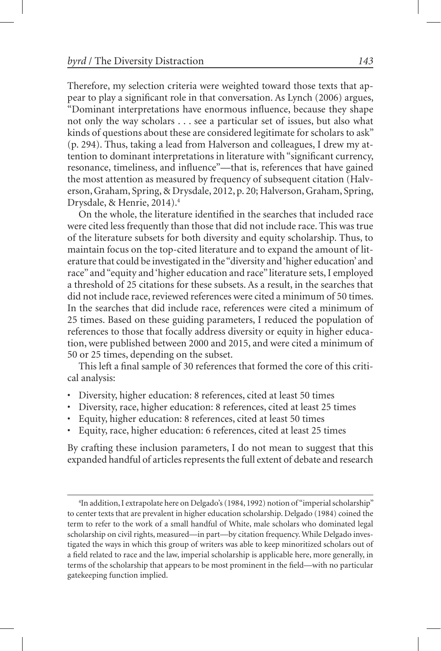Therefore, my selection criteria were weighted toward those texts that appear to play a significant role in that conversation. As Lynch (2006) argues, "Dominant interpretations have enormous influence, because they shape not only the way scholars . . . see a particular set of issues, but also what kinds of questions about these are considered legitimate for scholars to ask" (p. 294). Thus, taking a lead from Halverson and colleagues, I drew my attention to dominant interpretations in literature with "significant currency, resonance, timeliness, and influence"—that is, references that have gained the most attention as measured by frequency of subsequent citation (Halverson, Graham, Spring, & Drysdale, 2012, p. 20; Halverson, Graham, Spring, Drysdale, & Henrie, 2014).4

On the whole, the literature identified in the searches that included race were cited less frequently than those that did not include race. This was true of the literature subsets for both diversity and equity scholarship. Thus, to maintain focus on the top-cited literature and to expand the amount of literature that could be investigated in the "diversity and 'higher education' and race" and "equity and 'higher education and race" literature sets, I employed a threshold of 25 citations for these subsets. As a result, in the searches that did not include race, reviewed references were cited a minimum of 50 times. In the searches that did include race, references were cited a minimum of 25 times. Based on these guiding parameters, I reduced the population of references to those that focally address diversity or equity in higher education, were published between 2000 and 2015, and were cited a minimum of 50 or 25 times, depending on the subset.

This left a final sample of 30 references that formed the core of this critical analysis:

- Diversity, higher education: 8 references, cited at least 50 times
- Diversity, race, higher education: 8 references, cited at least 25 times
- Equity, higher education: 8 references, cited at least 50 times
- Equity, race, higher education: 6 references, cited at least 25 times

By crafting these inclusion parameters, I do not mean to suggest that this expanded handful of articles represents the full extent of debate and research

<sup>4</sup> In addition, I extrapolate here on Delgado's (1984, 1992) notion of "imperial scholarship" to center texts that are prevalent in higher education scholarship. Delgado (1984) coined the term to refer to the work of a small handful of White, male scholars who dominated legal scholarship on civil rights, measured—in part—by citation frequency. While Delgado investigated the ways in which this group of writers was able to keep minoritized scholars out of a field related to race and the law, imperial scholarship is applicable here, more generally, in terms of the scholarship that appears to be most prominent in the field—with no particular gatekeeping function implied.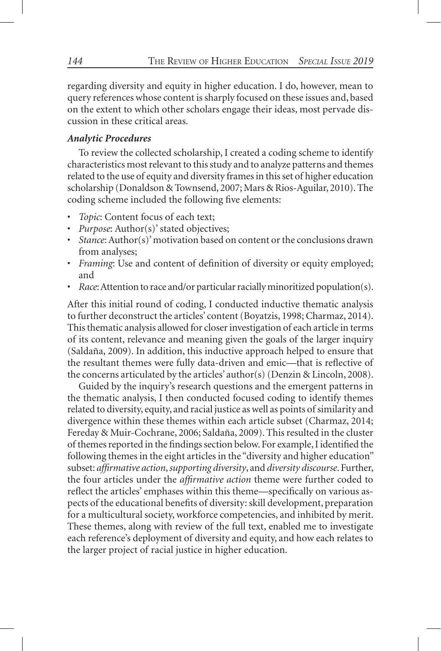regarding diversity and equity in higher education. I do, however, mean to query references whose content is sharply focused on these issues and, based on the extent to which other scholars engage their ideas, most pervade discussion in these critical areas.

# *Analytic Procedures*

To review the collected scholarship, I created a coding scheme to identify characteristics most relevant to this study and to analyze patterns and themes related to the use of equity and diversity frames in this set of higher education scholarship (Donaldson & Townsend, 2007; Mars & Rios-Aguilar, 2010). The coding scheme included the following five elements:

- *Topic*: Content focus of each text;
- *Purpose*: Author(s)' stated objectives;
- *Stance*: Author(s)' motivation based on content or the conclusions drawn from analyses;
- *Framing*: Use and content of definition of diversity or equity employed; and
- *Race*: Attention to race and/or particular racially minoritized population(s).

After this initial round of coding, I conducted inductive thematic analysis to further deconstruct the articles' content (Boyatzis, 1998; Charmaz, 2014). This thematic analysis allowed for closer investigation of each article in terms of its content, relevance and meaning given the goals of the larger inquiry (Saldaña, 2009). In addition, this inductive approach helped to ensure that the resultant themes were fully data-driven and emic—that is reflective of the concerns articulated by the articles' author(s) (Denzin & Lincoln, 2008).

Guided by the inquiry's research questions and the emergent patterns in the thematic analysis, I then conducted focused coding to identify themes related to diversity, equity, and racial justice as well as points of similarity and divergence within these themes within each article subset (Charmaz, 2014; Fereday & Muir-Cochrane, 2006; Saldaña, 2009). This resulted in the cluster of themes reported in the findings section below. For example, I identified the following themes in the eight articles in the "diversity and higher education" subset: *affirmative action*, *supporting diversity*, and *diversity discourse*. Further, the four articles under the *affirmative action* theme were further coded to reflect the articles' emphases within this theme—specifically on various aspects of the educational benefits of diversity: skill development, preparation for a multicultural society, workforce competencies, and inhibited by merit. These themes, along with review of the full text, enabled me to investigate each reference's deployment of diversity and equity, and how each relates to the larger project of racial justice in higher education.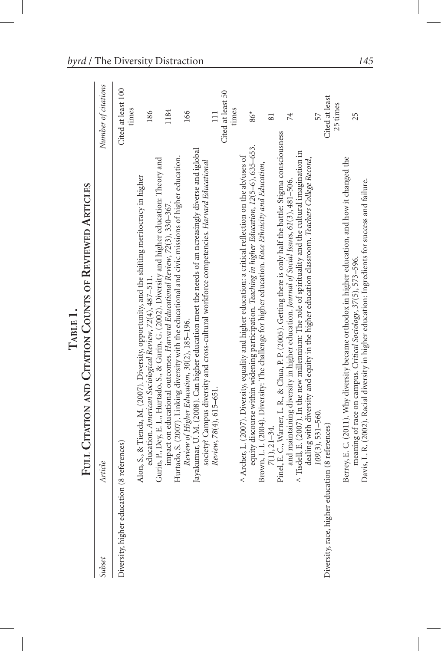|                                            | FULL CITATION AND CITATION COUNTS OF REVIEWED ARTICLES<br>TABLE 1.                                                                                                                                                                                                                                        |                             |
|--------------------------------------------|-----------------------------------------------------------------------------------------------------------------------------------------------------------------------------------------------------------------------------------------------------------------------------------------------------------|-----------------------------|
| Subset                                     | Article                                                                                                                                                                                                                                                                                                   | Number of citations         |
| Diversity, higher education (8 references) |                                                                                                                                                                                                                                                                                                           | Cited at least 100<br>times |
|                                            | Alon, S., & Tienda, M. (2007). Diversity, opportunity, and the shifting meritocracy in higher<br>education. American Sociological Review, 72(4), 487-511.                                                                                                                                                 | 186                         |
|                                            | Hurtado, S. (2007). Linking diversity with the educational and civic missions of higher education.<br>Gurin, P., Dey, E. L., Hurtado, S., & Gurin, G. (2002). Diversity and higher education: Theory and<br>impact on educational outcomes. Harvard Educational Review, 72(3), 330-367                    | 1184                        |
|                                            | Review of Higher Education, 30(2), 185–196.                                                                                                                                                                                                                                                               | 166                         |
|                                            | Jayakumar, U. M. (2008). Can higher education meet the needs of an ncreasingly diverse and iglobal<br>society? Campus diversity and cross-cultural workforce competencies. Harvard Educational                                                                                                            |                             |
|                                            | Review, 78(4), 615–651.                                                                                                                                                                                                                                                                                   | Cited at least 50<br>Ξ      |
|                                            |                                                                                                                                                                                                                                                                                                           | times                       |
|                                            | A Archer, L. (2007). Diversity, equality and higher education: a critical reflection on the ab/uses of                                                                                                                                                                                                    |                             |
|                                            | equity discourse within widening participation. Teaching in higher Education, 12(5-6), 635-653.<br>Brown, L. I. (2004). Diversity: The challenge for higher education. Race Ethnicity and Education,                                                                                                      | $86*$                       |
|                                            | $7(1), 21-34.$                                                                                                                                                                                                                                                                                            | $\overline{8}$              |
|                                            | Pinel, E. C., Warner, L. R., & Chua, P. P. (2005). Getting there is only half the battle: Stigma consciousness                                                                                                                                                                                            |                             |
|                                            | $\wedge$ Tisdell, E. (2007). In the new millennium: The role of spirituality and the cultural imagination in<br>dealing with diversity and equity in the higher education classroom. Teachers College Record,<br>and maintaining diversity in higher education. Journal of Social Issues, 61(3), 481-506. | 74                          |
|                                            | $109(3), 531 - 560.$                                                                                                                                                                                                                                                                                      | 57                          |
| Diversity, race, higher                    | education (8 references)                                                                                                                                                                                                                                                                                  | Cited at least              |
|                                            |                                                                                                                                                                                                                                                                                                           | 25 times                    |
|                                            | Berrey, E. C. (2011). Why diversity became orthodox in higher education, and how it changed the                                                                                                                                                                                                           |                             |
|                                            | meaning of race on campus. Critical Sociology, 37(5), 573-596.                                                                                                                                                                                                                                            | 25                          |
|                                            | Davis, L. R. (2002). Racial diversity in higher education: Ingredients for success and failure.                                                                                                                                                                                                           |                             |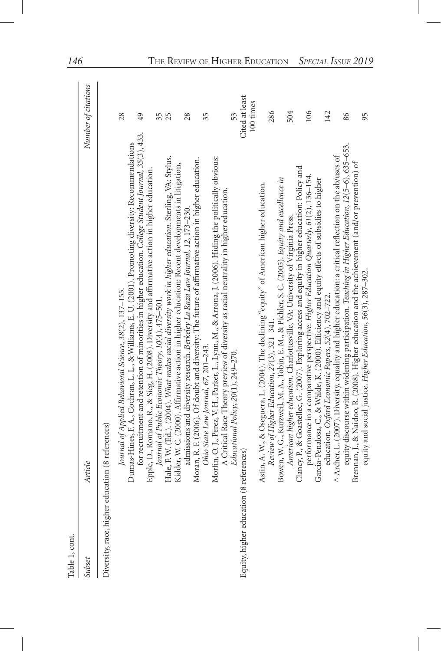| Table 1, cont.                                   |                                                                                                                                                                                                          |                     |
|--------------------------------------------------|----------------------------------------------------------------------------------------------------------------------------------------------------------------------------------------------------------|---------------------|
| Subset                                           | Article                                                                                                                                                                                                  | Number of citations |
| Diversity, race, higher education (8 references) |                                                                                                                                                                                                          |                     |
|                                                  | Journal of Applied Behavioral Science, 38(2), 137-155.                                                                                                                                                   | 28                  |
|                                                  | Dumas-Hines, F. A., Cochran, L. L., & Williams, E. U. (2001). Promoting diversity: Recommendations                                                                                                       |                     |
|                                                  | for recruitment and retention of minorities in higher education. College Student Journal, 35(3), 433.<br>Epple, D., Romano, R., & Sieg, H. (2008). Diversity and affirmative action in higher education. | 49                  |
|                                                  | Journal of Public Economic Theory, 10(4), 475-501.                                                                                                                                                       | 35                  |
|                                                  | Hale, F. W. (Ed.). (2004). What makes racial diversity work in higher education. Sterling, VA: Stylus.                                                                                                   | 25                  |
|                                                  | Kidder, W. C. (2000). Affirmative action in higher education: Recent developments in litigation,<br>admissions and diversity research. Berkeley La Raza Law Journal, 12, 173-230.                        | 28                  |
|                                                  | Moran, R. F. (2006). Of doubt and diversity: The future of affirmative action in higher education.                                                                                                       |                     |
|                                                  | Ohio State Law Journal, 67, 201–243.                                                                                                                                                                     | 35                  |
|                                                  | Morfin, O. J., Perez, V. H., Parker, L., Lynn, M., & Arrona, J. (2006). Hiding the politically obvious:<br>A Critical Race Theory preview of diversity as racial neutrality in higher education.         |                     |
|                                                  | Educational Policy, 20(1), 249–270.                                                                                                                                                                      | 53                  |
| Equity, higher education (8 references)          |                                                                                                                                                                                                          | Cited at least      |
|                                                  |                                                                                                                                                                                                          | 100 times           |
|                                                  | Astin, A. W., & Oseguera, L. (2004). The declining "equity" of American higher education.                                                                                                                |                     |
|                                                  | Review of Higher Education, 27(3), 321–341.                                                                                                                                                              | 286                 |
|                                                  | Bowen, W. G., Kurzweil, M. A., Tobin, E. M., & Pichler, S. C. (2005). Equity and excellence in                                                                                                           |                     |
|                                                  | American higher education. Charlottesville, VA: University of Virginia Press.                                                                                                                            | 504                 |
|                                                  | Clancy, P., & Goastellec, G. (2007). Exploring access and equity in higher education: Policy and                                                                                                         |                     |
|                                                  | performance in a comparative perspective. Higher Education Quarterly, 61(2), 136-154.                                                                                                                    | 106                 |
|                                                  | Garcia-Penalosa, C., & Wälde, K. (2000). Efficiency and equity effects of subsidies to higher                                                                                                            |                     |
|                                                  | education. Oxford Economic Papers, 52(4), 702-722.                                                                                                                                                       | 142                 |
|                                                  | A Archer, L. (2007). Diversity, equality and higher education: a critical reflection on the ab/uses of                                                                                                   |                     |
|                                                  | equity discourse within widening participation. Teaching in Higher Education, 12(5-6), 635-653.                                                                                                          | 86                  |
|                                                  | Brennan, J., & Naidoo, R. (2008). Higher education and the achievement (and/or prevention) of                                                                                                            |                     |
|                                                  | equity and social justice. Higher Education, 56(3), 287-302.                                                                                                                                             | 95                  |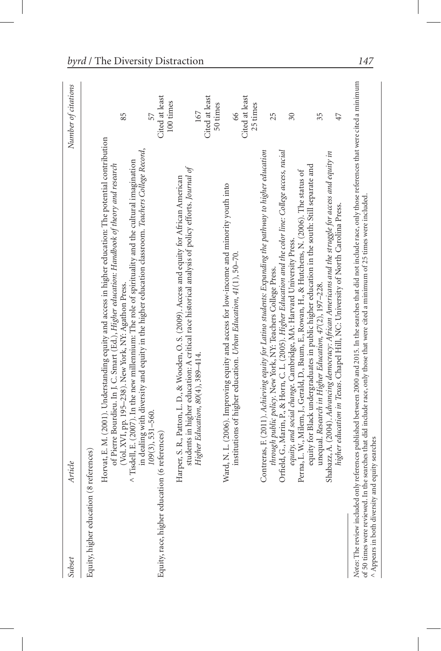| Subset                                                                                  | Article                                                                                                                                                                                                                                                                                                                                                                                                                                                                                        | Number of citations              |
|-----------------------------------------------------------------------------------------|------------------------------------------------------------------------------------------------------------------------------------------------------------------------------------------------------------------------------------------------------------------------------------------------------------------------------------------------------------------------------------------------------------------------------------------------------------------------------------------------|----------------------------------|
| Equity, higher education                                                                | 8 references)                                                                                                                                                                                                                                                                                                                                                                                                                                                                                  |                                  |
| Equity, race, higher education (6 references)                                           | Horvat, E. M. (2001). Understanding equity and access in higher education: The potential contribution<br>in dealing with diversity and equity in the higher education classroom. Teachers College Record,<br>A Tisdell, E. (2007). In the new millennium: The role of spirituality and the cultural imagination<br>of Pierre Bourdieu. In J. C. Smart (Ed.), Higher education: Handbook of theory and research<br>(Vol. XVI, pp. 195–238). New York, NY: Agathon Press.<br>$109(3)$ , 531-560. | Cited at least<br>85<br>57       |
|                                                                                         | students in higher education: A critical race historical analysis of policy efforts. Journal of<br>Harper, S. R., Patton, L. D., & Wooden, O. S. (2009). Access and equity for African American<br>Higher Education, 80(4), 389–414.                                                                                                                                                                                                                                                           | 100 times<br>167                 |
|                                                                                         |                                                                                                                                                                                                                                                                                                                                                                                                                                                                                                | Cited at least<br>50 times       |
|                                                                                         | Ward, N. L. (2006). Improving equity and access for low-income and minority youth into<br>institutions of higher education. Urban Education, $41(1)$ , 50–70.                                                                                                                                                                                                                                                                                                                                  | Cited at least<br>25 times<br>66 |
|                                                                                         | Contreras, F. (2011). Achieving equity for Latino students: Expanding the pathway to higher education<br>through public policy. New York, NY: Teachers College Press.                                                                                                                                                                                                                                                                                                                          | 25                               |
|                                                                                         | Orfield, G., Marin, P., & Horn, C. L. (2005). Higher Education and the color line: College access, racial<br>Perna, L. W., Milem, J., Gerald, D., Baum, E., Rowan, H., & Hutchens, N. (2006). The status of<br>equity, and social change. Cambridge, MA: Harvard University Press.                                                                                                                                                                                                             | 30                               |
|                                                                                         | Shabazz, A. (2004). Advancing democracy: African Americans and the struggle for access and equity in<br>equity for Black undergraduates in public higher education in the south: Still separate and<br>higher education in Texas. Chapel Hill, NC: University of North Carolina Press.<br>unequal. Research in Higher Education, $47(2)$ , 197–228.                                                                                                                                            | 35<br>47                         |
| $\wedge$ Appears in both diversity and equity searches<br>of 50 times were reviewed. In | Notes: The review included only references published between 2000 and 2015. In the searches that did not include race, only those references that were cited a minimum<br>the searches that did include race, only those that were cited a minimum of 25 times were included.                                                                                                                                                                                                                  |                                  |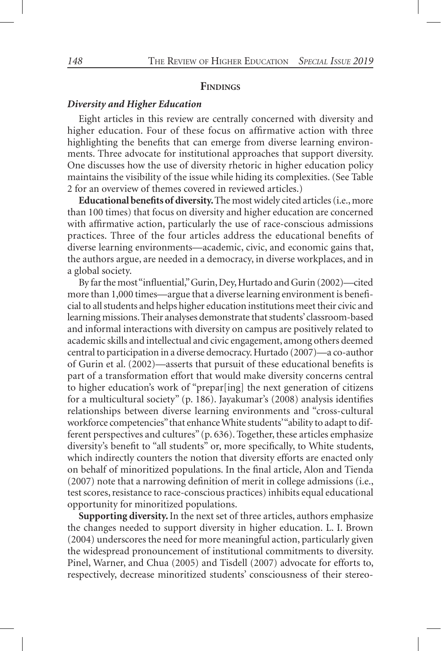#### **Findings**

#### *Diversity and Higher Education*

Eight articles in this review are centrally concerned with diversity and higher education. Four of these focus on affirmative action with three highlighting the benefits that can emerge from diverse learning environments. Three advocate for institutional approaches that support diversity. One discusses how the use of diversity rhetoric in higher education policy maintains the visibility of the issue while hiding its complexities. (See Table 2 for an overview of themes covered in reviewed articles.)

**Educational benefits of diversity.** The most widely cited articles (i.e., more than 100 times) that focus on diversity and higher education are concerned with affirmative action, particularly the use of race-conscious admissions practices. Three of the four articles address the educational benefits of diverse learning environments—academic, civic, and economic gains that, the authors argue, are needed in a democracy, in diverse workplaces, and in a global society.

By far the most "influential," Gurin, Dey, Hurtado and Gurin (2002)—cited more than 1,000 times—argue that a diverse learning environment is beneficial to all students and helps higher education institutions meet their civic and learning missions. Their analyses demonstrate that students' classroom-based and informal interactions with diversity on campus are positively related to academic skills and intellectual and civic engagement, among others deemed central to participation in a diverse democracy. Hurtado (2007)—a co-author of Gurin et al. (2002)—asserts that pursuit of these educational benefits is part of a transformation effort that would make diversity concerns central to higher education's work of "prepar[ing] the next generation of citizens for a multicultural society" (p. 186). Jayakumar's (2008) analysis identifies relationships between diverse learning environments and "cross-cultural workforce competencies" that enhance White students' "ability to adapt to different perspectives and cultures" (p. 636). Together, these articles emphasize diversity's benefit to "all students" or, more specifically, to White students, which indirectly counters the notion that diversity efforts are enacted only on behalf of minoritized populations. In the final article, Alon and Tienda (2007) note that a narrowing definition of merit in college admissions (i.e., test scores, resistance to race-conscious practices) inhibits equal educational opportunity for minoritized populations.

**Supporting diversity.** In the next set of three articles, authors emphasize the changes needed to support diversity in higher education. L. I. Brown (2004) underscores the need for more meaningful action, particularly given the widespread pronouncement of institutional commitments to diversity. Pinel, Warner, and Chua (2005) and Tisdell (2007) advocate for efforts to, respectively, decrease minoritized students' consciousness of their stereo-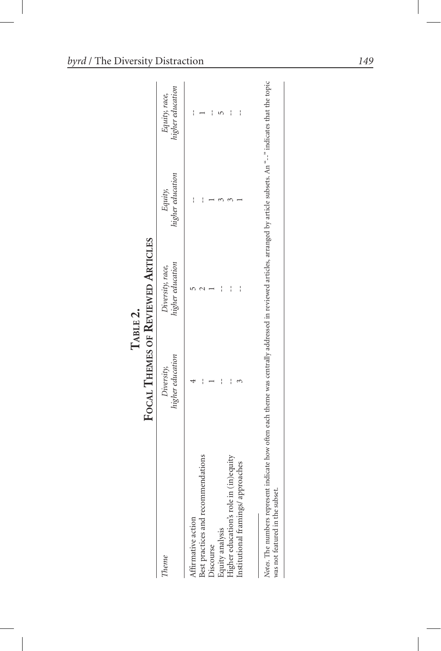|                                                                                                                                                                                                           |                                | FOCAL THEMES OF REVIEWED ARTICLES<br>TABLE 2. |                             |                                   |
|-----------------------------------------------------------------------------------------------------------------------------------------------------------------------------------------------------------|--------------------------------|-----------------------------------------------|-----------------------------|-----------------------------------|
| Theme                                                                                                                                                                                                     | higher education<br>Diversity, | higher education<br>Diversity, race,          | higher education<br>Equity, | higher education<br>Equity, race, |
| Affirmative action                                                                                                                                                                                        |                                |                                               |                             |                                   |
| Best practices and recommendations                                                                                                                                                                        |                                |                                               |                             |                                   |
| Discourse                                                                                                                                                                                                 |                                |                                               |                             |                                   |
| Equity analysis<br>Higher education's role in (in)equity                                                                                                                                                  |                                |                                               |                             |                                   |
|                                                                                                                                                                                                           | l                              | $\frac{1}{1}$                                 |                             | I                                 |
| Institutional framings/ approaches                                                                                                                                                                        |                                | I                                             |                             | I                                 |
|                                                                                                                                                                                                           |                                |                                               |                             |                                   |
| Notes. The numbers represent indicate how often each theme was centrally addressed in reviewed articles, arranged by article subsets. An "--" indicates that the topic<br>was not featured in the subset. |                                |                                               |                             |                                   |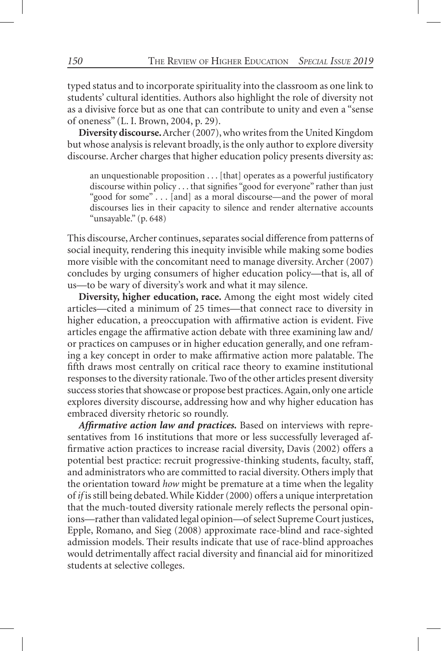typed status and to incorporate spirituality into the classroom as one link to students' cultural identities. Authors also highlight the role of diversity not as a divisive force but as one that can contribute to unity and even a "sense of oneness" (L. I. Brown, 2004, p. 29).

**Diversity discourse.** Archer (2007), who writes from the United Kingdom but whose analysis is relevant broadly, is the only author to explore diversity discourse. Archer charges that higher education policy presents diversity as:

an unquestionable proposition . . . [that] operates as a powerful justificatory discourse within policy . . . that signifies "good for everyone" rather than just "good for some" . . . [and] as a moral discourse—and the power of moral discourses lies in their capacity to silence and render alternative accounts "unsayable." (p. 648)

This discourse, Archer continues, separates social difference from patterns of social inequity, rendering this inequity invisible while making some bodies more visible with the concomitant need to manage diversity. Archer (2007) concludes by urging consumers of higher education policy—that is, all of us—to be wary of diversity's work and what it may silence.

**Diversity, higher education, race.** Among the eight most widely cited articles—cited a minimum of 25 times—that connect race to diversity in higher education, a preoccupation with affirmative action is evident. Five articles engage the affirmative action debate with three examining law and/ or practices on campuses or in higher education generally, and one reframing a key concept in order to make affirmative action more palatable. The fifth draws most centrally on critical race theory to examine institutional responses to the diversity rationale. Two of the other articles present diversity success stories that showcase or propose best practices. Again, only one article explores diversity discourse, addressing how and why higher education has embraced diversity rhetoric so roundly.

*Affirmative action law and practices.* Based on interviews with representatives from 16 institutions that more or less successfully leveraged affirmative action practices to increase racial diversity, Davis (2002) offers a potential best practice: recruit progressive-thinking students, faculty, staff, and administrators who are committed to racial diversity. Others imply that the orientation toward *how* might be premature at a time when the legality of *if* is still being debated. While Kidder (2000) offers a unique interpretation that the much-touted diversity rationale merely reflects the personal opinions—rather than validated legal opinion—of select Supreme Court justices, Epple, Romano, and Sieg (2008) approximate race-blind and race-sighted admission models. Their results indicate that use of race-blind approaches would detrimentally affect racial diversity and financial aid for minoritized students at selective colleges.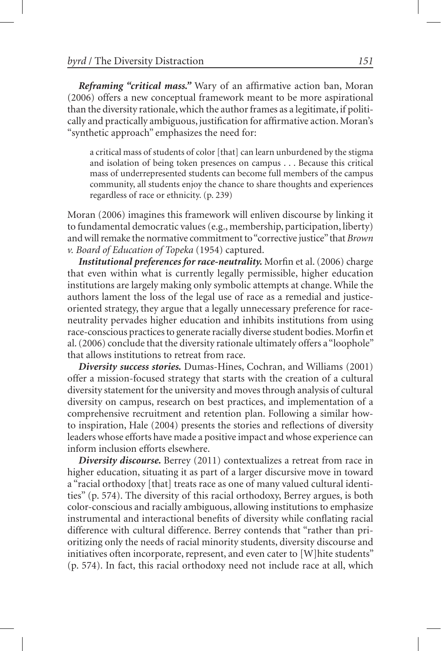*Reframing "critical mass."* Wary of an affirmative action ban, Moran (2006) offers a new conceptual framework meant to be more aspirational than the diversity rationale, which the author frames as a legitimate, if politically and practically ambiguous, justification for affirmative action. Moran's "synthetic approach" emphasizes the need for:

a critical mass of students of color [that] can learn unburdened by the stigma and isolation of being token presences on campus . . . Because this critical mass of underrepresented students can become full members of the campus community, all students enjoy the chance to share thoughts and experiences regardless of race or ethnicity. (p. 239)

Moran (2006) imagines this framework will enliven discourse by linking it to fundamental democratic values (e.g., membership, participation, liberty) and will remake the normative commitment to "corrective justice" that *Brown v. Board of Education of Topeka* (1954) captured.

*Institutional preferences for race-neutrality.* Morfin et al. (2006) charge that even within what is currently legally permissible, higher education institutions are largely making only symbolic attempts at change. While the authors lament the loss of the legal use of race as a remedial and justiceoriented strategy, they argue that a legally unnecessary preference for raceneutrality pervades higher education and inhibits institutions from using race-conscious practices to generate racially diverse student bodies. Morfin et al. (2006) conclude that the diversity rationale ultimately offers a "loophole" that allows institutions to retreat from race.

*Diversity success stories.* Dumas-Hines, Cochran, and Williams (2001) offer a mission-focused strategy that starts with the creation of a cultural diversity statement for the university and moves through analysis of cultural diversity on campus, research on best practices, and implementation of a comprehensive recruitment and retention plan. Following a similar howto inspiration, Hale (2004) presents the stories and reflections of diversity leaders whose efforts have made a positive impact and whose experience can inform inclusion efforts elsewhere.

*Diversity discourse.* Berrey (2011) contextualizes a retreat from race in higher education, situating it as part of a larger discursive move in toward a "racial orthodoxy [that] treats race as one of many valued cultural identities" (p. 574). The diversity of this racial orthodoxy, Berrey argues, is both color-conscious and racially ambiguous, allowing institutions to emphasize instrumental and interactional benefits of diversity while conflating racial difference with cultural difference. Berrey contends that "rather than prioritizing only the needs of racial minority students, diversity discourse and initiatives often incorporate, represent, and even cater to [W]hite students" (p. 574). In fact, this racial orthodoxy need not include race at all, which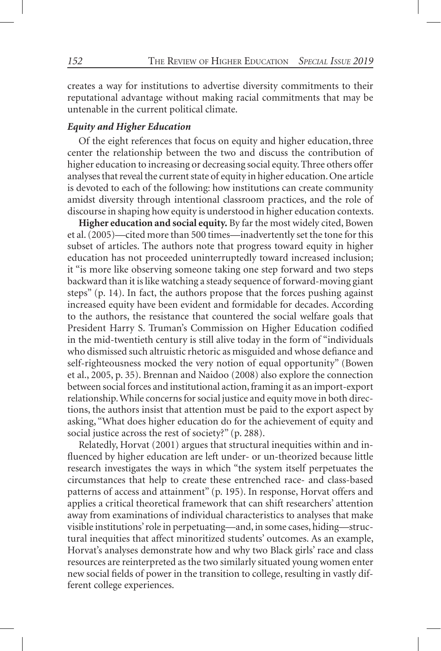creates a way for institutions to advertise diversity commitments to their reputational advantage without making racial commitments that may be untenable in the current political climate.

# *Equity and Higher Education*

Of the eight references that focus on equity and higher education, three center the relationship between the two and discuss the contribution of higher education to increasing or decreasing social equity. Three others offer analyses that reveal the current state of equity in higher education. One article is devoted to each of the following: how institutions can create community amidst diversity through intentional classroom practices, and the role of discourse in shaping how equity is understood in higher education contexts.

**Higher education and social equity.** By far the most widely cited, Bowen et al. (2005)—cited more than 500 times—inadvertently set the tone for this subset of articles. The authors note that progress toward equity in higher education has not proceeded uninterruptedly toward increased inclusion; it "is more like observing someone taking one step forward and two steps backward than it is like watching a steady sequence of forward-moving giant steps" (p. 14). In fact, the authors propose that the forces pushing against increased equity have been evident and formidable for decades. According to the authors, the resistance that countered the social welfare goals that President Harry S. Truman's Commission on Higher Education codified in the mid-twentieth century is still alive today in the form of "individuals who dismissed such altruistic rhetoric as misguided and whose defiance and self-righteousness mocked the very notion of equal opportunity" (Bowen et al., 2005, p. 35). Brennan and Naidoo (2008) also explore the connection between social forces and institutional action, framing it as an import-export relationship. While concerns for social justice and equity move in both directions, the authors insist that attention must be paid to the export aspect by asking, "What does higher education do for the achievement of equity and social justice across the rest of society?" (p. 288).

Relatedly, Horvat (2001) argues that structural inequities within and influenced by higher education are left under- or un-theorized because little research investigates the ways in which "the system itself perpetuates the circumstances that help to create these entrenched race- and class-based patterns of access and attainment" (p. 195). In response, Horvat offers and applies a critical theoretical framework that can shift researchers' attention away from examinations of individual characteristics to analyses that make visible institutions' role in perpetuating—and, in some cases, hiding—structural inequities that affect minoritized students' outcomes. As an example, Horvat's analyses demonstrate how and why two Black girls' race and class resources are reinterpreted as the two similarly situated young women enter new social fields of power in the transition to college, resulting in vastly different college experiences.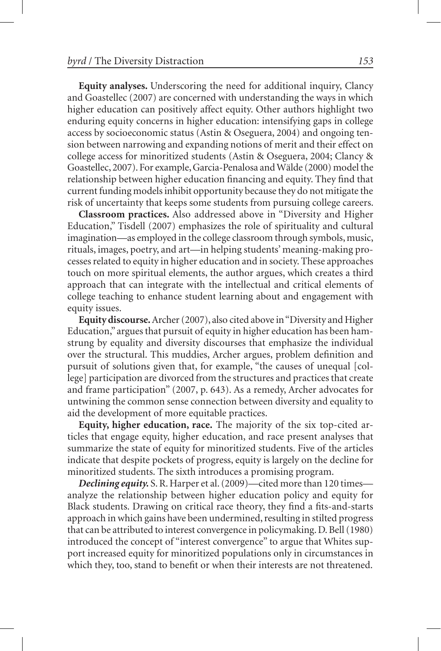**Equity analyses.** Underscoring the need for additional inquiry, Clancy and Goastellec (2007) are concerned with understanding the ways in which higher education can positively affect equity. Other authors highlight two enduring equity concerns in higher education: intensifying gaps in college access by socioeconomic status (Astin & Oseguera, 2004) and ongoing tension between narrowing and expanding notions of merit and their effect on college access for minoritized students (Astin & Oseguera, 2004; Clancy & Goastellec, 2007). For example, Garcia-Penalosa and Wälde (2000) model the relationship between higher education financing and equity. They find that current funding models inhibit opportunity because they do not mitigate the risk of uncertainty that keeps some students from pursuing college careers.

**Classroom practices.** Also addressed above in "Diversity and Higher Education," Tisdell (2007) emphasizes the role of spirituality and cultural imagination—as employed in the college classroom through symbols, music, rituals, images, poetry, and art—in helping students' meaning-making processes related to equity in higher education and in society. These approaches touch on more spiritual elements, the author argues, which creates a third approach that can integrate with the intellectual and critical elements of college teaching to enhance student learning about and engagement with equity issues.

**Equity discourse.** Archer (2007), also cited above in "Diversity and Higher Education," argues that pursuit of equity in higher education has been hamstrung by equality and diversity discourses that emphasize the individual over the structural. This muddies, Archer argues, problem definition and pursuit of solutions given that, for example, "the causes of unequal [college] participation are divorced from the structures and practices that create and frame participation" (2007, p. 643). As a remedy, Archer advocates for untwining the common sense connection between diversity and equality to aid the development of more equitable practices.

**Equity, higher education, race.** The majority of the six top-cited articles that engage equity, higher education, and race present analyses that summarize the state of equity for minoritized students. Five of the articles indicate that despite pockets of progress, equity is largely on the decline for minoritized students. The sixth introduces a promising program.

*Declining equity.* S. R. Harper et al. (2009)—cited more than 120 times analyze the relationship between higher education policy and equity for Black students. Drawing on critical race theory, they find a fits-and-starts approach in which gains have been undermined, resulting in stilted progress that can be attributed to interest convergence in policymaking. D. Bell (1980) introduced the concept of "interest convergence" to argue that Whites support increased equity for minoritized populations only in circumstances in which they, too, stand to benefit or when their interests are not threatened.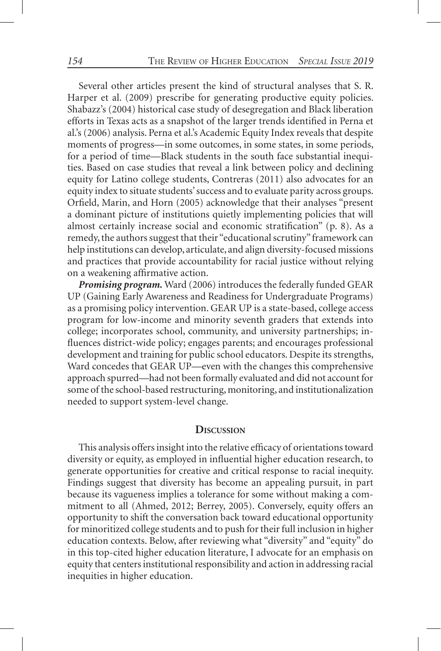Several other articles present the kind of structural analyses that S. R. Harper et al. (2009) prescribe for generating productive equity policies. Shabazz's (2004) historical case study of desegregation and Black liberation efforts in Texas acts as a snapshot of the larger trends identified in Perna et al.'s (2006) analysis. Perna et al.'s Academic Equity Index reveals that despite moments of progress—in some outcomes, in some states, in some periods, for a period of time—Black students in the south face substantial inequities. Based on case studies that reveal a link between policy and declining equity for Latino college students, Contreras (2011) also advocates for an equity index to situate students' success and to evaluate parity across groups. Orfield, Marin, and Horn (2005) acknowledge that their analyses "present a dominant picture of institutions quietly implementing policies that will almost certainly increase social and economic stratification" (p. 8). As a remedy, the authors suggest that their "educational scrutiny" framework can help institutions can develop, articulate, and align diversity-focused missions and practices that provide accountability for racial justice without relying on a weakening affirmative action.

*Promising program.* Ward (2006) introduces the federally funded GEAR UP (Gaining Early Awareness and Readiness for Undergraduate Programs) as a promising policy intervention. GEAR UP is a state-based, college access program for low-income and minority seventh graders that extends into college; incorporates school, community, and university partnerships; influences district-wide policy; engages parents; and encourages professional development and training for public school educators. Despite its strengths, Ward concedes that GEAR UP—even with the changes this comprehensive approach spurred—had not been formally evaluated and did not account for some of the school-based restructuring, monitoring, and institutionalization needed to support system-level change.

#### **Discussion**

This analysis offers insight into the relative efficacy of orientations toward diversity or equity, as employed in influential higher education research, to generate opportunities for creative and critical response to racial inequity. Findings suggest that diversity has become an appealing pursuit, in part because its vagueness implies a tolerance for some without making a commitment to all (Ahmed, 2012; Berrey, 2005). Conversely, equity offers an opportunity to shift the conversation back toward educational opportunity for minoritized college students and to push for their full inclusion in higher education contexts. Below, after reviewing what "diversity" and "equity" do in this top-cited higher education literature, I advocate for an emphasis on equity that centers institutional responsibility and action in addressing racial inequities in higher education.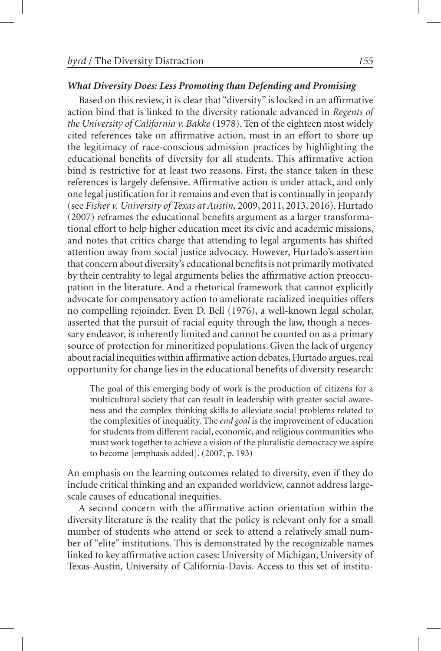#### *What Diversity Does: Less Promoting than Defending and Promising*

Based on this review, it is clear that "diversity" is locked in an affirmative action bind that is linked to the diversity rationale advanced in *Regents of the University of California v. Bakke* (1978). Ten of the eighteen most widely cited references take on affirmative action, most in an effort to shore up the legitimacy of race-conscious admission practices by highlighting the educational benefits of diversity for all students. This affirmative action bind is restrictive for at least two reasons. First, the stance taken in these references is largely defensive. Affirmative action is under attack, and only one legal justification for it remains and even that is continually in jeopardy (see *Fisher v. University of Texas at Austin,* 2009, 2011, 2013, 2016). Hurtado (2007) reframes the educational benefits argument as a larger transformational effort to help higher education meet its civic and academic missions, and notes that critics charge that attending to legal arguments has shifted attention away from social justice advocacy. However, Hurtado's assertion that concern about diversity's educational benefits is not primarily motivated by their centrality to legal arguments belies the affirmative action preoccupation in the literature. And a rhetorical framework that cannot explicitly advocate for compensatory action to ameliorate racialized inequities offers no compelling rejoinder. Even D. Bell (1976), a well-known legal scholar, asserted that the pursuit of racial equity through the law, though a necessary endeavor, is inherently limited and cannot be counted on as a primary source of protection for minoritized populations. Given the lack of urgency about racial inequities within affirmative action debates, Hurtado argues, real opportunity for change lies in the educational benefits of diversity research:

The goal of this emerging body of work is the production of citizens for a multicultural society that can result in leadership with greater social awareness and the complex thinking skills to alleviate social problems related to the complexities of inequality. The *end goal* is the improvement of education for students from different racial, economic, and religious communities who must work together to achieve a vision of the pluralistic democracy we aspire to become [emphasis added]. (2007, p. 193)

An emphasis on the learning outcomes related to diversity, even if they do include critical thinking and an expanded worldview, cannot address largescale causes of educational inequities.

A second concern with the affirmative action orientation within the diversity literature is the reality that the policy is relevant only for a small number of students who attend or seek to attend a relatively small number of "elite" institutions. This is demonstrated by the recognizable names linked to key affirmative action cases: University of Michigan, University of Texas-Austin, University of California-Davis. Access to this set of institu-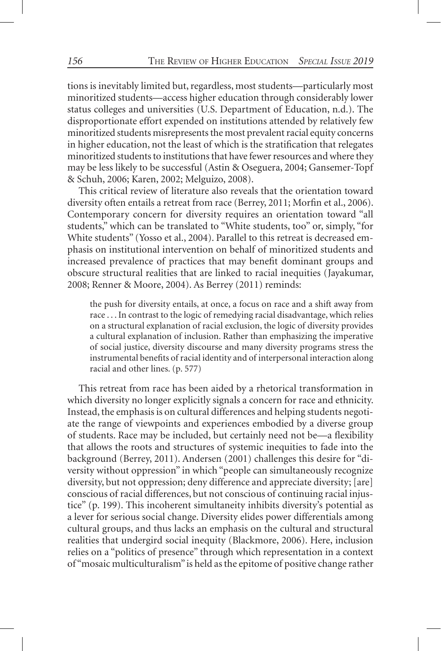tions is inevitably limited but, regardless, most students—particularly most minoritized students—access higher education through considerably lower status colleges and universities (U.S. Department of Education, n.d.). The disproportionate effort expended on institutions attended by relatively few minoritized students misrepresents the most prevalent racial equity concerns in higher education, not the least of which is the stratification that relegates minoritized students to institutions that have fewer resources and where they may be less likely to be successful (Astin & Oseguera, 2004; Gansemer-Topf & Schuh, 2006; Karen, 2002; Melguizo, 2008).

This critical review of literature also reveals that the orientation toward diversity often entails a retreat from race (Berrey, 2011; Morfin et al., 2006). Contemporary concern for diversity requires an orientation toward "all students," which can be translated to "White students, too" or, simply, "for White students" (Yosso et al., 2004). Parallel to this retreat is decreased emphasis on institutional intervention on behalf of minoritized students and increased prevalence of practices that may benefit dominant groups and obscure structural realities that are linked to racial inequities (Jayakumar, 2008; Renner & Moore, 2004). As Berrey (2011) reminds:

the push for diversity entails, at once, a focus on race and a shift away from race . . . In contrast to the logic of remedying racial disadvantage, which relies on a structural explanation of racial exclusion, the logic of diversity provides a cultural explanation of inclusion. Rather than emphasizing the imperative of social justice, diversity discourse and many diversity programs stress the instrumental benefits of racial identity and of interpersonal interaction along racial and other lines. (p. 577)

This retreat from race has been aided by a rhetorical transformation in which diversity no longer explicitly signals a concern for race and ethnicity. Instead, the emphasis is on cultural differences and helping students negotiate the range of viewpoints and experiences embodied by a diverse group of students. Race may be included, but certainly need not be—a flexibility that allows the roots and structures of systemic inequities to fade into the background (Berrey, 2011). Andersen (2001) challenges this desire for "diversity without oppression" in which "people can simultaneously recognize diversity, but not oppression; deny difference and appreciate diversity; [are] conscious of racial differences, but not conscious of continuing racial injustice" (p. 199). This incoherent simultaneity inhibits diversity's potential as a lever for serious social change. Diversity elides power differentials among cultural groups, and thus lacks an emphasis on the cultural and structural realities that undergird social inequity (Blackmore, 2006). Here, inclusion relies on a "politics of presence" through which representation in a context of "mosaic multiculturalism" is held as the epitome of positive change rather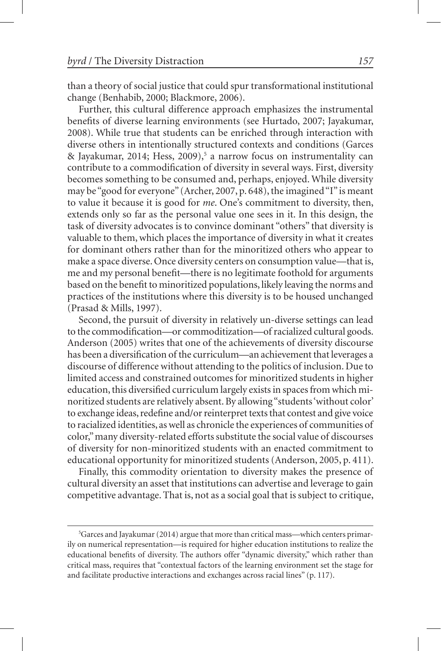than a theory of social justice that could spur transformational institutional change (Benhabib, 2000; Blackmore, 2006).

Further, this cultural difference approach emphasizes the instrumental benefits of diverse learning environments (see Hurtado, 2007; Jayakumar, 2008). While true that students can be enriched through interaction with diverse others in intentionally structured contexts and conditions (Garces & Jayakumar, 2014; Hess, 2009),<sup>5</sup> a narrow focus on instrumentality can contribute to a commodification of diversity in several ways. First, diversity becomes something to be consumed and, perhaps, enjoyed. While diversity may be "good for everyone" (Archer, 2007, p. 648), the imagined "I" is meant to value it because it is good for *me*. One's commitment to diversity, then, extends only so far as the personal value one sees in it. In this design, the task of diversity advocates is to convince dominant "others" that diversity is valuable to them, which places the importance of diversity in what it creates for dominant others rather than for the minoritized others who appear to make a space diverse. Once diversity centers on consumption value—that is, me and my personal benefit—there is no legitimate foothold for arguments based on the benefit to minoritized populations, likely leaving the norms and practices of the institutions where this diversity is to be housed unchanged (Prasad & Mills, 1997).

Second, the pursuit of diversity in relatively un-diverse settings can lead to the commodification—or commoditization—of racialized cultural goods. Anderson (2005) writes that one of the achievements of diversity discourse has been a diversification of the curriculum—an achievement that leverages a discourse of difference without attending to the politics of inclusion. Due to limited access and constrained outcomes for minoritized students in higher education, this diversified curriculum largely exists in spaces from which minoritized students are relatively absent. By allowing "students 'without color' to exchange ideas, redefine and/or reinterpret texts that contest and give voice to racialized identities, as well as chronicle the experiences of communities of color," many diversity-related efforts substitute the social value of discourses of diversity for non-minoritized students with an enacted commitment to educational opportunity for minoritized students (Anderson, 2005, p. 411).

Finally, this commodity orientation to diversity makes the presence of cultural diversity an asset that institutions can advertise and leverage to gain competitive advantage. That is, not as a social goal that is subject to critique,

<sup>&</sup>lt;sup>5</sup>Garces and Jayakumar (2014) argue that more than critical mass—which centers primarily on numerical representation—is required for higher education institutions to realize the educational benefits of diversity. The authors offer "dynamic diversity," which rather than critical mass, requires that "contextual factors of the learning environment set the stage for and facilitate productive interactions and exchanges across racial lines" (p. 117).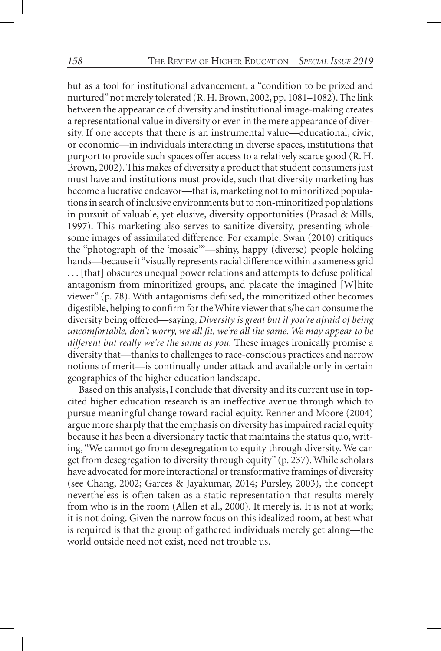but as a tool for institutional advancement, a "condition to be prized and nurtured" not merely tolerated (R. H. Brown, 2002, pp. 1081–1082). The link between the appearance of diversity and institutional image-making creates a representational value in diversity or even in the mere appearance of diversity. If one accepts that there is an instrumental value—educational, civic, or economic—in individuals interacting in diverse spaces, institutions that purport to provide such spaces offer access to a relatively scarce good (R. H. Brown, 2002). This makes of diversity a product that student consumers just must have and institutions must provide, such that diversity marketing has become a lucrative endeavor—that is, marketing not to minoritized populations in search of inclusive environments but to non-minoritized populations in pursuit of valuable, yet elusive, diversity opportunities (Prasad & Mills, 1997). This marketing also serves to sanitize diversity, presenting wholesome images of assimilated difference. For example, Swan (2010) critiques the "photograph of the 'mosaic'"—shiny, happy (diverse) people holding hands—because it "visually represents racial difference within a sameness grid . . . [that] obscures unequal power relations and attempts to defuse political antagonism from minoritized groups, and placate the imagined [W]hite viewer" (p. 78). With antagonisms defused, the minoritized other becomes digestible, helping to confirm for the White viewer that s/he can consume the diversity being offered—saying, *Diversity is great but if you're afraid of being uncomfortable, don't worry, we all fit, we're all the same. We may appear to be different but really we're the same as you.* These images ironically promise a diversity that—thanks to challenges to race-conscious practices and narrow notions of merit—is continually under attack and available only in certain geographies of the higher education landscape.

Based on this analysis, I conclude that diversity and its current use in topcited higher education research is an ineffective avenue through which to pursue meaningful change toward racial equity. Renner and Moore (2004) argue more sharply that the emphasis on diversity has impaired racial equity because it has been a diversionary tactic that maintains the status quo, writing, "We cannot go from desegregation to equity through diversity. We can get from desegregation to diversity through equity" (p. 237). While scholars have advocated for more interactional or transformative framings of diversity (see Chang, 2002; Garces & Jayakumar, 2014; Pursley, 2003), the concept nevertheless is often taken as a static representation that results merely from who is in the room (Allen et al., 2000). It merely is. It is not at work; it is not doing. Given the narrow focus on this idealized room, at best what is required is that the group of gathered individuals merely get along—the world outside need not exist, need not trouble us.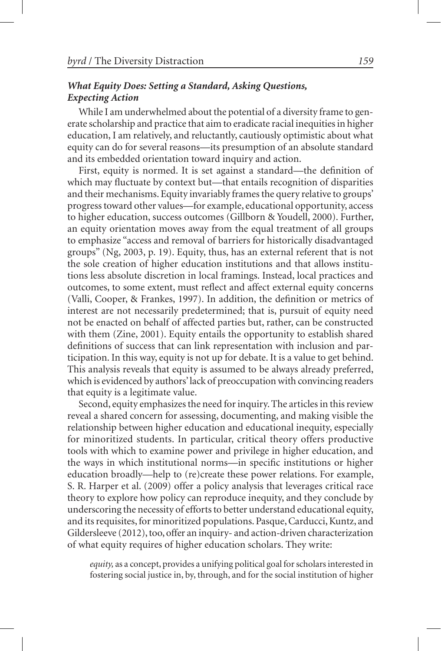# *What Equity Does: Setting a Standard, Asking Questions, Expecting Action*

While I am underwhelmed about the potential of a diversity frame to generate scholarship and practice that aim to eradicate racial inequities in higher education, I am relatively, and reluctantly, cautiously optimistic about what equity can do for several reasons—its presumption of an absolute standard and its embedded orientation toward inquiry and action.

First, equity is normed. It is set against a standard—the definition of which may fluctuate by context but—that entails recognition of disparities and their mechanisms. Equity invariably frames the query relative to groups' progress toward other values—for example, educational opportunity, access to higher education, success outcomes (Gillborn & Youdell, 2000). Further, an equity orientation moves away from the equal treatment of all groups to emphasize "access and removal of barriers for historically disadvantaged groups" (Ng, 2003, p. 19). Equity, thus, has an external referent that is not the sole creation of higher education institutions and that allows institutions less absolute discretion in local framings. Instead, local practices and outcomes, to some extent, must reflect and affect external equity concerns (Valli, Cooper, & Frankes, 1997). In addition, the definition or metrics of interest are not necessarily predetermined; that is, pursuit of equity need not be enacted on behalf of affected parties but, rather, can be constructed with them (Zine, 2001). Equity entails the opportunity to establish shared definitions of success that can link representation with inclusion and participation. In this way, equity is not up for debate. It is a value to get behind. This analysis reveals that equity is assumed to be always already preferred, which is evidenced by authors' lack of preoccupation with convincing readers that equity is a legitimate value.

Second, equity emphasizes the need for inquiry. The articles in this review reveal a shared concern for assessing, documenting, and making visible the relationship between higher education and educational inequity, especially for minoritized students. In particular, critical theory offers productive tools with which to examine power and privilege in higher education, and the ways in which institutional norms—in specific institutions or higher education broadly—help to (re)create these power relations. For example, S. R. Harper et al. (2009) offer a policy analysis that leverages critical race theory to explore how policy can reproduce inequity, and they conclude by underscoring the necessity of efforts to better understand educational equity, and its requisites, for minoritized populations. Pasque, Carducci, Kuntz, and Gildersleeve (2012), too, offer an inquiry- and action-driven characterization of what equity requires of higher education scholars. They write:

*equity,* as a concept, provides a unifying political goal for scholars interested in fostering social justice in, by, through, and for the social institution of higher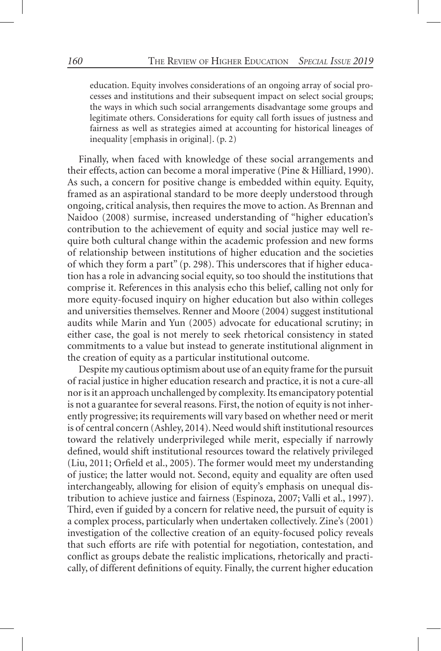education. Equity involves considerations of an ongoing array of social processes and institutions and their subsequent impact on select social groups; the ways in which such social arrangements disadvantage some groups and legitimate others. Considerations for equity call forth issues of justness and fairness as well as strategies aimed at accounting for historical lineages of inequality [emphasis in original]. (p. 2)

Finally, when faced with knowledge of these social arrangements and their effects, action can become a moral imperative (Pine & Hilliard, 1990). As such, a concern for positive change is embedded within equity. Equity, framed as an aspirational standard to be more deeply understood through ongoing, critical analysis, then requires the move to action. As Brennan and Naidoo (2008) surmise, increased understanding of "higher education's contribution to the achievement of equity and social justice may well require both cultural change within the academic profession and new forms of relationship between institutions of higher education and the societies of which they form a part" (p. 298). This underscores that if higher education has a role in advancing social equity, so too should the institutions that comprise it. References in this analysis echo this belief, calling not only for more equity-focused inquiry on higher education but also within colleges and universities themselves. Renner and Moore (2004) suggest institutional audits while Marin and Yun (2005) advocate for educational scrutiny; in either case, the goal is not merely to seek rhetorical consistency in stated commitments to a value but instead to generate institutional alignment in the creation of equity as a particular institutional outcome.

Despite my cautious optimism about use of an equity frame for the pursuit of racial justice in higher education research and practice, it is not a cure-all nor is it an approach unchallenged by complexity. Its emancipatory potential is not a guarantee for several reasons. First, the notion of equity is not inherently progressive; its requirements will vary based on whether need or merit is of central concern (Ashley, 2014). Need would shift institutional resources toward the relatively underprivileged while merit, especially if narrowly defined, would shift institutional resources toward the relatively privileged (Liu, 2011; Orfield et al., 2005). The former would meet my understanding of justice; the latter would not. Second, equity and equality are often used interchangeably, allowing for elision of equity's emphasis on unequal distribution to achieve justice and fairness (Espinoza, 2007; Valli et al., 1997). Third, even if guided by a concern for relative need, the pursuit of equity is a complex process, particularly when undertaken collectively. Zine's (2001) investigation of the collective creation of an equity-focused policy reveals that such efforts are rife with potential for negotiation, contestation, and conflict as groups debate the realistic implications, rhetorically and practically, of different definitions of equity. Finally, the current higher education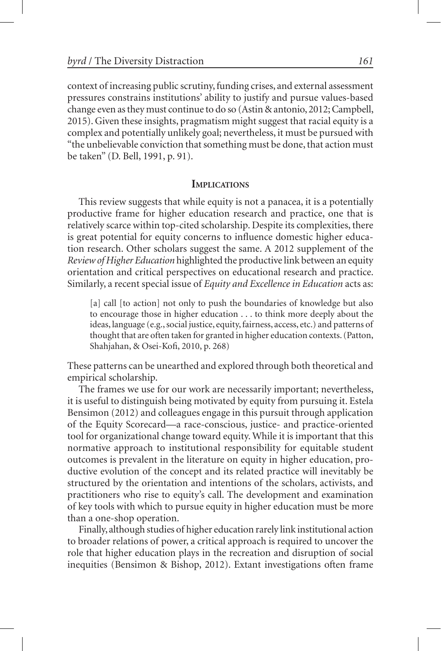context of increasing public scrutiny, funding crises, and external assessment pressures constrains institutions' ability to justify and pursue values-based change even as they must continue to do so (Astin & antonio, 2012; Campbell, 2015). Given these insights, pragmatism might suggest that racial equity is a complex and potentially unlikely goal; nevertheless, it must be pursued with "the unbelievable conviction that something must be done, that action must be taken" (D. Bell, 1991, p. 91).

#### **Implications**

This review suggests that while equity is not a panacea, it is a potentially productive frame for higher education research and practice, one that is relatively scarce within top-cited scholarship. Despite its complexities, there is great potential for equity concerns to influence domestic higher education research. Other scholars suggest the same. A 2012 supplement of the *Review of Higher Education* highlighted the productive link between an equity orientation and critical perspectives on educational research and practice. Similarly, a recent special issue of *Equity and Excellence in Education* acts as:

[a] call [to action] not only to push the boundaries of knowledge but also to encourage those in higher education . . . to think more deeply about the ideas, language (e.g., social justice, equity, fairness, access, etc.) and patterns of thought that are often taken for granted in higher education contexts. (Patton, Shahjahan, & Osei-Kofi, 2010, p. 268)

These patterns can be unearthed and explored through both theoretical and empirical scholarship.

The frames we use for our work are necessarily important; nevertheless, it is useful to distinguish being motivated by equity from pursuing it. Estela Bensimon (2012) and colleagues engage in this pursuit through application of the Equity Scorecard—a race-conscious, justice- and practice-oriented tool for organizational change toward equity. While it is important that this normative approach to institutional responsibility for equitable student outcomes is prevalent in the literature on equity in higher education, productive evolution of the concept and its related practice will inevitably be structured by the orientation and intentions of the scholars, activists, and practitioners who rise to equity's call. The development and examination of key tools with which to pursue equity in higher education must be more than a one-shop operation.

Finally, although studies of higher education rarely link institutional action to broader relations of power, a critical approach is required to uncover the role that higher education plays in the recreation and disruption of social inequities (Bensimon & Bishop, 2012). Extant investigations often frame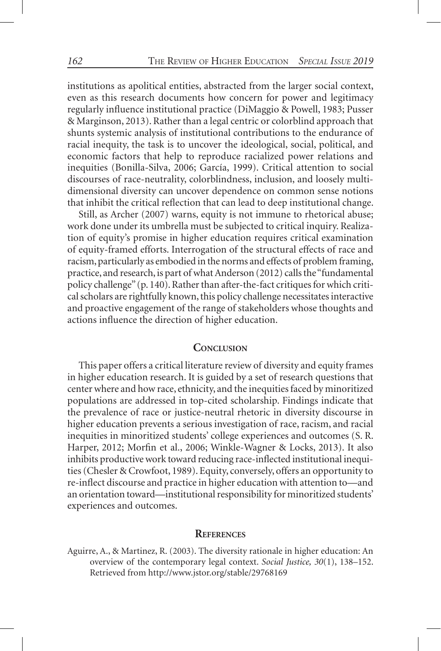institutions as apolitical entities, abstracted from the larger social context, even as this research documents how concern for power and legitimacy regularly influence institutional practice (DiMaggio & Powell, 1983; Pusser & Marginson, 2013). Rather than a legal centric or colorblind approach that shunts systemic analysis of institutional contributions to the endurance of racial inequity, the task is to uncover the ideological, social, political, and economic factors that help to reproduce racialized power relations and inequities (Bonilla-Silva, 2006; García, 1999). Critical attention to social discourses of race-neutrality, colorblindness, inclusion, and loosely multidimensional diversity can uncover dependence on common sense notions that inhibit the critical reflection that can lead to deep institutional change.

Still, as Archer (2007) warns, equity is not immune to rhetorical abuse; work done under its umbrella must be subjected to critical inquiry. Realization of equity's promise in higher education requires critical examination of equity-framed efforts. Interrogation of the structural effects of race and racism, particularly as embodied in the norms and effects of problem framing, practice, and research, is part of what Anderson (2012) calls the "fundamental policy challenge" (p. 140). Rather than after-the-fact critiques for which critical scholars are rightfully known, this policy challenge necessitates interactive and proactive engagement of the range of stakeholders whose thoughts and actions influence the direction of higher education.

#### **Conclusion**

This paper offers a critical literature review of diversity and equity frames in higher education research. It is guided by a set of research questions that center where and how race, ethnicity, and the inequities faced by minoritized populations are addressed in top-cited scholarship. Findings indicate that the prevalence of race or justice-neutral rhetoric in diversity discourse in higher education prevents a serious investigation of race, racism, and racial inequities in minoritized students' college experiences and outcomes (S. R. Harper, 2012; Morfin et al., 2006; Winkle-Wagner & Locks, 2013). It also inhibits productive work toward reducing race-inflected institutional inequities (Chesler & Crowfoot, 1989). Equity, conversely, offers an opportunity to re-inflect discourse and practice in higher education with attention to—and an orientation toward—institutional responsibility for minoritized students' experiences and outcomes.

#### **References**

Aguirre, A., & Martinez, R. (2003). The diversity rationale in higher education: An overview of the contemporary legal context. *Social Justice, 30*(1), 138–152. Retrieved from<http://www.jstor.org/stable/29768169>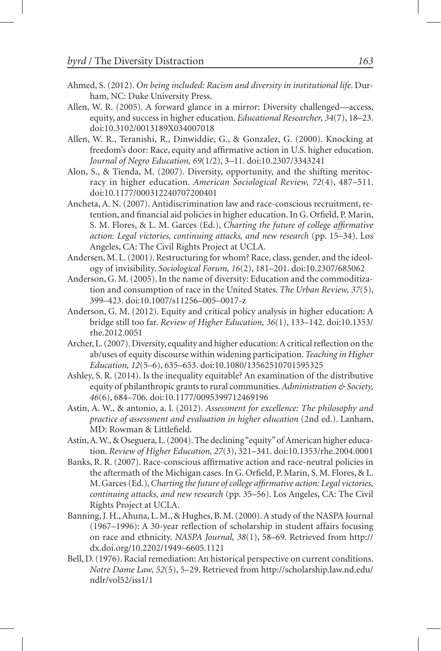- Ahmed, S. (2012). *On being included: Racism and diversity in institutional life*. Durham, NC: Duke University Press.
- Allen, W. R. (2005). A forward glance in a mirror: Diversity challenged—access, equity, and success in higher education. *Educational Researcher, 34*(7), 18–23. doi:10.3102/0013189X034007018
- Allen, W. R., Teranishi, R., Dinwiddie, G., & Gonzalez, G. (2000). Knocking at freedom's door: Race, equity and affirmative action in U.S. higher education. *Journal of Negro Education, 69*(1/2), 3–11. doi:10.2307/3343241
- Alon, S., & Tienda, M. (2007). Diversity, opportunity, and the shifting meritocracy in higher education. *American Sociological Review, 72*(4), 487–511. doi:10.1177/000312240707200401
- Ancheta, A. N. (2007). Antidiscrimination law and race-conscious recruitment, retention, and financial aid policies in higher education. In G. Orfield, P. Marin, S. M. Flores, & L. M. Garces (Ed.), *Charting the future of college affirmative action: Legal victories, continuing attacks, and new research* (pp. 15–34). Los Angeles, CA: The Civil Rights Project at UCLA.
- Andersen, M. L. (2001). Restructuring for whom? Race, class, gender, and the ideology of invisibility. *Sociological Forum, 16*(2), 181–201. doi:10.2307/685062
- Anderson, G. M. (2005). In the name of diversity: Education and the commoditization and consumption of race in the United States. *The Urban Review, 37*(5), 399–423. doi:10.1007/s11256–005–0017-z
- Anderson, G. M. (2012). Equity and critical policy analysis in higher education: A bridge still too far. *Review of Higher Education, 36*(1), 133–142. doi:10.1353/ rhe.2012.0051
- Archer, L. (2007). Diversity, equality and higher education: A critical reflection on the ab/uses of equity discourse within widening participation. *Teaching in Higher Education, 12*(5–6), 635–653. doi:10.1080/13562510701595325
- Ashley, S. R. (2014). Is the inequality equitable? An examination of the distributive equity of philanthropic grants to rural communities. *Administration & Society, 46*(6), 684–706. doi:10.1177/0095399712469196
- Astin, A. W., & antonio, a. l. (2012). *Assessment for excellence: The philosophy and practice of assessment and evaluation in higher education* (2nd ed.). Lanham, MD: Rowman & Littlefield.
- Astin, A. W., & Oseguera, L. (2004). The declining "equity" of American higher education. *Review of Higher Education, 27*(3), 321–341. doi:10.1353/rhe.2004.0001
- Banks, R. R. (2007). Race-conscious affirmative action and race-neutral policies in the aftermath of the Michigan cases. In G. Orfield, P. Marin, S. M. Flores, & L. M. Garces (Ed.), *Charting the future of college affirmative action: Legal victories, continuing attacks, and new research* (pp. 35–56). Los Angeles, CA: The Civil Rights Project at UCLA.
- Banning, J. H., Ahuna, L. M., & Hughes, B. M. (2000). A study of the NASPA Journal (1967–1996): A 30-year reflection of scholarship in student affairs focusing on race and ethnicity. *NASPA Journal, 38*(1), 58–69. Retrieved from [http://](http://dx.doi.org/10.2202/1949-6605.1121) [dx.doi.org/10.2202/1949–6605.1121](http://dx.doi.org/10.2202/1949-6605.1121)
- Bell, D. (1976). Racial remediation: An historical perspective on current conditions. *Notre Dame Law, 52*(5), 5–29. Retrieved from [http://scholarship.law.nd.edu/](http://scholarship.law.nd.edu/ndlr/vol52/iss1/1) [ndlr/vol52/iss1/1](http://scholarship.law.nd.edu/ndlr/vol52/iss1/1)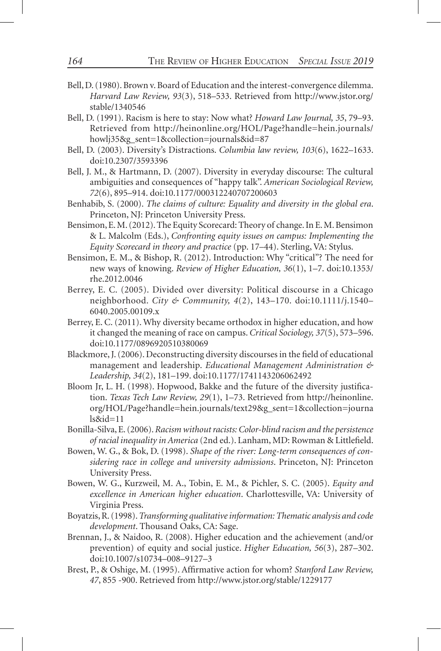- Bell, D. (1980). Brown v. Board of Education and the interest-convergence dilemma. *Harvard Law Review, 93*(3), 518–533. Retrieved from [http://www.jstor.org/](http://www.jstor.org/stable/1340546) [stable/1340546](http://www.jstor.org/stable/1340546)
- Bell, D. (1991). Racism is here to stay: Now what? *Howard Law Journal, 35*, 79–93. Retrieved from [http://heinonline.org/HOL/Page?handle=hein.journals/](http://heinonline.org/HOL/Page?handle=hein.journals/howlj35&g_sent=1&collection=journals&id=87) [howlj35&g\\_sent=1&collection=journals&id=87](http://heinonline.org/HOL/Page?handle=hein.journals/howlj35&g_sent=1&collection=journals&id=87)
- Bell, D. (2003). Diversity's Distractions. *Columbia law review, 103*(6), 1622–1633. doi:10.2307/3593396
- Bell, J. M., & Hartmann, D. (2007). Diversity in everyday discourse: The cultural ambiguities and consequences of "happy talk". *American Sociological Review, 72*(6), 895–914. doi:10.1177/000312240707200603
- Benhabib, S. (2000). *The claims of culture: Equality and diversity in the global era*. Princeton, NJ: Princeton University Press.
- Bensimon, E. M. (2012). The Equity Scorecard: Theory of change. In E. M. Bensimon & L. Malcolm (Eds.), *Confronting equity issues on campus: Implementing the Equity Scorecard in theory and practice* (pp. 17–44). Sterling, VA: Stylus.
- Bensimon, E. M., & Bishop, R. (2012). Introduction: Why "critical"? The need for new ways of knowing. *Review of Higher Education, 36*(1), 1–7. doi:10.1353/ rhe.2012.0046
- Berrey, E. C. (2005). Divided over diversity: Political discourse in a Chicago neighborhood. *City & Community, 4*(2), 143–170. doi:10.1111/j.1540– 6040.2005.00109.x
- Berrey, E. C. (2011). Why diversity became orthodox in higher education, and how it changed the meaning of race on campus. *Critical Sociology, 37*(5), 573–596. doi:10.1177/0896920510380069
- Blackmore, J. (2006). Deconstructing diversity discourses in the field of educational management and leadership. *Educational Management Administration & Leadership, 34*(2), 181–199. doi:10.1177/1741143206062492
- Bloom Jr, L. H. (1998). Hopwood, Bakke and the future of the diversity justification. *Texas Tech Law Review, 29*(1), 1–73. Retrieved from [http://heinonline.](http://heinonline.org/HOL/Page?handle=hein.journals/text29&g_sent=1&collection=journals&id=11) [org/HOL/Page?handle=hein.journals/text29&g\\_sent=1&collection=journa](http://heinonline.org/HOL/Page?handle=hein.journals/text29&g_sent=1&collection=journals&id=11)  $ls\&id=11$
- Bonilla-Silva, E. (2006). *Racism without racists: Color-blind racism and the persistence of racial inequality in America* (2nd ed.). Lanham, MD: Rowman & Littlefield.
- Bowen, W. G., & Bok, D. (1998). *Shape of the river: Long-term consequences of considering race in college and university admissions*. Princeton, NJ: Princeton University Press.
- Bowen, W. G., Kurzweil, M. A., Tobin, E. M., & Pichler, S. C. (2005). *Equity and excellence in American higher education*. Charlottesville, VA: University of Virginia Press.
- Boyatzis, R. (1998). *Transforming qualitative information: Thematic analysis and code development*. Thousand Oaks, CA: Sage.
- Brennan, J., & Naidoo, R. (2008). Higher education and the achievement (and/or prevention) of equity and social justice. *Higher Education, 56*(3), 287–302. doi:10.1007/s10734–008–9127–3
- Brest, P., & Oshige, M. (1995). Affirmative action for whom? *Stanford Law Review, 47*, 855 -900. Retrieved from<http://www.jstor.org/stable/1229177>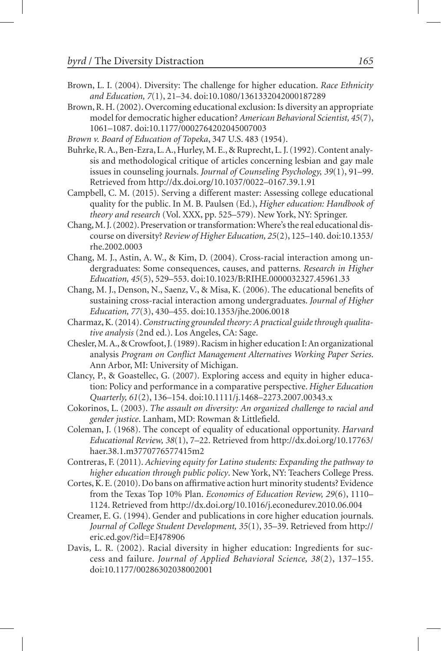- Brown, L. I. (2004). Diversity: The challenge for higher education. *Race Ethnicity and Education, 7*(1), 21–34. doi:10.1080/1361332042000187289
- Brown, R. H. (2002). Overcoming educational exclusion: Is diversity an appropriate model for democratic higher education? *American Behavioral Scientist, 45*(7), 1061–1087. doi:10.1177/0002764202045007003
- *Brown v. Board of Education of Topeka*, 347 U.S. 483 (1954).
- Buhrke, R. A., Ben-Ezra, L. A., Hurley, M. E., & Ruprecht, L. J. (1992). Content analysis and methodological critique of articles concerning lesbian and gay male issues in counseling journals. *Journal of Counseling Psychology, 39*(1), 91–99. Retrieved from [http://dx.doi.org/10.1037/0022–0167.39.1.91](http://dx.doi.org/10.1037/0022-0167.39.1.91)
- Campbell, C. M. (2015). Serving a different master: Assessing college educational quality for the public. In M. B. Paulsen (Ed.), *Higher education: Handbook of theory and research* (Vol. XXX, pp. 525–579). New York, NY: Springer.
- Chang, M. J. (2002). Preservation or transformation: Where's the real educational discourse on diversity? *Review of Higher Education, 25*(2), 125–140. doi:10.1353/ rhe.2002.0003
- Chang, M. J., Astin, A. W., & Kim, D. (2004). Cross-racial interaction among undergraduates: Some consequences, causes, and patterns. *Research in Higher Education, 45*(5), 529–553. doi:10.1023/B:RIHE.0000032327.45961.33
- Chang, M. J., Denson, N., Saenz, V., & Misa, K. (2006). The educational benefits of sustaining cross-racial interaction among undergraduates. *Journal of Higher Education, 77*(3), 430–455. doi:10.1353/jhe.2006.0018
- Charmaz, K. (2014). *Constructing grounded theory: A practical guide through qualitative analysis* (2nd ed.). Los Angeles, CA: Sage.
- Chesler, M. A., & Crowfoot, J. (1989). Racism in higher education I: An organizational analysis *Program on Conflict Management Alternatives Working Paper Series*. Ann Arbor, MI: University of Michigan.
- Clancy, P., & Goastellec, G. (2007). Exploring access and equity in higher education: Policy and performance in a comparative perspective. *Higher Education Quarterly, 61*(2), 136–154. doi:10.1111/j.1468–2273.2007.00343.x
- Cokorinos, L. (2003). *The assault on diversity: An organized challenge to racial and gender justice*. Lanham, MD: Rowman & Littlefield.
- Coleman, J. (1968). The concept of equality of educational opportunity. *Harvard Educational Review, 38*(1), 7–22. Retrieved from [http://dx.doi.org/10.17763/](http://dx.doi.org/10.17763/haer.38.1.m3770776577415m2) [haer.38.1.m3770776577415m2](http://dx.doi.org/10.17763/haer.38.1.m3770776577415m2)
- Contreras, F. (2011). *Achieving equity for Latino students: Expanding the pathway to higher education through public policy*. New York, NY: Teachers College Press.
- Cortes, K. E. (2010). Do bans on affirmative action hurt minority students? Evidence from the Texas Top 10% Plan. *Economics of Education Review, 29*(6), 1110– 1124. Retrieved from<http://dx.doi.org/10.1016/j.econedurev.2010.06.004>
- Creamer, E. G. (1994). Gender and publications in core higher education journals. *Journal of College Student Development, 35*(1), 35–39. Retrieved from [http://](http://eric.ed.gov/?id=EJ478906) [eric.ed.gov/?id=EJ478906](http://eric.ed.gov/?id=EJ478906)
- Davis, L. R. (2002). Racial diversity in higher education: Ingredients for success and failure. *Journal of Applied Behavioral Science, 38*(2), 137–155. doi:10.1177/00286302038002001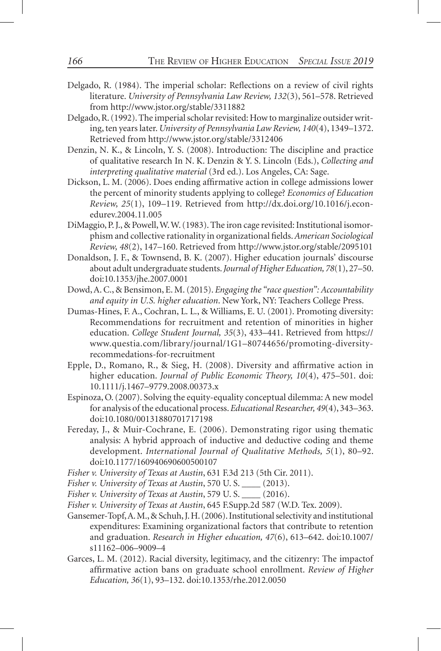- Delgado, R. (1984). The imperial scholar: Reflections on a review of civil rights literature. *University of Pennsylvania Law Review, 132*(3), 561–578. Retrieved from<http://www.jstor.org/stable/3311882>
- Delgado, R. (1992). The imperial scholar revisited: How to marginalize outsider writing, ten years later. *University of Pennsylvania Law Review, 140*(4), 1349–1372. Retrieved from<http://www.jstor.org/stable/3312406>
- Denzin, N. K., & Lincoln, Y. S. (2008). Introduction: The discipline and practice of qualitative research In N. K. Denzin & Y. S. Lincoln (Eds.), *Collecting and interpreting qualitative material* (3rd ed.). Los Angeles, CA: Sage.
- Dickson, L. M. (2006). Does ending affirmative action in college admissions lower the percent of minority students applying to college? *Economics of Education Review, 25*(1), 109–119. Retrieved from [http://dx.doi.org/10.1016/j.econ](http://dx.doi.org/10.1016/j.econedurev.2004.11.005)[edurev.2004.11.005](http://dx.doi.org/10.1016/j.econedurev.2004.11.005)
- DiMaggio, P. J., & Powell, W. W. (1983). The iron cage revisited: Institutional isomorphism and collective rationality in organizational fields. *American Sociological Review, 48*(2), 147–160. Retrieved from <http://www.jstor.org/stable/2095101>
- Donaldson, J. F., & Townsend, B. K. (2007). Higher education journals' discourse about adult undergraduate students. *Journal of Higher Education, 78*(1), 27–50. doi:10.1353/jhe.2007.0001
- Dowd, A. C., & Bensimon, E. M. (2015). *Engaging the "race question": Accountability and equity in U.S. higher education*. New York, NY: Teachers College Press.
- Dumas-Hines, F. A., Cochran, L. L., & Williams, E. U. (2001). Promoting diversity: Recommendations for recruitment and retention of minorities in higher education. *College Student Journal, 35*(3), 433–441. Retrieved from [https://](https://www.questia.com/library/journal/1G1-80744656/promoting-diversity-recommedations-for-recruitment) [www.questia.com/library/journal/1G1–80744656/promoting-diversity](https://www.questia.com/library/journal/1G1-80744656/promoting-diversity-recommedations-for-recruitment)[recommedations-for-recruitment](https://www.questia.com/library/journal/1G1-80744656/promoting-diversity-recommedations-for-recruitment)
- Epple, D., Romano, R., & Sieg, H. (2008). Diversity and affirmative action in higher education. *Journal of Public Economic Theory, 10*(4), 475–501. doi: 10.1111/j.1467–9779.2008.00373.x
- Espinoza, O. (2007). Solving the equity-equality conceptual dilemma: A new model for analysis of the educational process. *Educational Researcher, 49*(4), 343–363. doi:10.1080/00131880701717198
- Fereday, J., & Muir-Cochrane, E. (2006). Demonstrating rigor using thematic analysis: A hybrid approach of inductive and deductive coding and theme development. *International Journal of Qualitative Methods, 5*(1), 80–92. doi:10.1177/160940690600500107
- *Fisher v. University of Texas at Austin*, 631 F.3d 213 (5th Cir. 2011).
- *Fisher v. University of Texas at Austin*, 570 U. S. \_\_\_\_ (2013).
- *Fisher v. University of Texas at Austin*, 579 U. S. \_\_\_\_ (2016).
- *Fisher v. University of Texas at Austin*, 645 F.Supp.2d 587 (W.D. Tex. 2009).
- Gansemer-Topf, A. M., & Schuh, J. H. (2006). Institutional selectivity and institutional expenditures: Examining organizational factors that contribute to retention and graduation. *Research in Higher education, 47*(6), 613–642. doi:10.1007/ s11162–006–9009–4
- Garces, L. M. (2012). Racial diversity, legitimacy, and the citizenry: The impactof affirmative action bans on graduate school enrollment. *Review of Higher Education, 36*(1), 93–132. doi:10.1353/rhe.2012.0050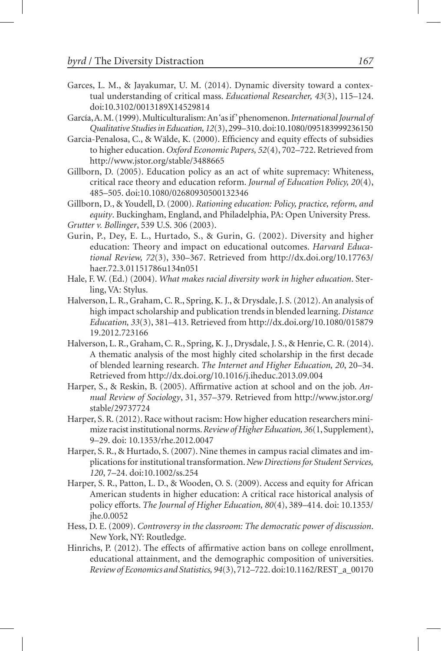- Garces, L. M., & Jayakumar, U. M. (2014). Dynamic diversity toward a contextual understanding of critical mass. *Educational Researcher, 43*(3), 115–124. doi:10.3102/0013189X14529814
- García, A. M. (1999). Multiculturalism: An 'as if' phenomenon. *International Journal of Qualitative Studies in Education, 12*(3), 299–310. doi:10.1080/095183999236150
- Garcia-Penalosa, C., & Wälde, K. (2000). Efficiency and equity effects of subsidies to higher education. *Oxford Economic Papers, 52*(4), 702–722. Retrieved from <http://www.jstor.org/stable/3488665>
- Gillborn, D. (2005). Education policy as an act of white supremacy: Whiteness, critical race theory and education reform. *Journal of Education Policy, 20*(4), 485–505. doi:10.1080/02680930500132346
- Gillborn, D., & Youdell, D. (2000). *Rationing education: Policy, practice, reform, and equity*. Buckingham, England, and Philadelphia, PA: Open University Press. *Grutter v. Bollinger*, 539 U.S. 306 (2003).
- Gurin, P., Dey, E. L., Hurtado, S., & Gurin, G. (2002). Diversity and higher education: Theory and impact on educational outcomes. *Harvard Educational Review, 72*(3), 330–367. Retrieved from [http://dx.doi.org/10.17763/](http://dx.doi.org/10.17763/haer.72.3.01151786u134n051) [haer.72.3.01151786u134n051](http://dx.doi.org/10.17763/haer.72.3.01151786u134n051)
- Hale, F. W. (Ed.) (2004). *What makes racial diversity work in higher education*. Sterling, VA: Stylus.
- Halverson, L. R., Graham, C. R., Spring, K. J., & Drysdale, J. S. (2012). An analysis of high impact scholarship and publication trends in blended learning. *Distance Education, 33*(3), 381–413. Retrieved from http://dx.doi.org/10.1080/015879 19.2012.723166
- Halverson, L. R., Graham, C. R., Spring, K. J., Drysdale, J. S., & Henrie, C. R. (2014). A thematic analysis of the most highly cited scholarship in the first decade of blended learning research. *The Internet and Higher Education, 20*, 20–34. Retrieved from<http://dx.doi.org/10.1016/j.iheduc.2013.09.004>
- Harper, S., & Reskin, B. (2005). Affirmative action at school and on the job. *Annual Review of Sociology*, 31, 357–379. Retrieved from [http://www.jstor.org/](http://www.jstor.org/stable/29737724) [stable/29737724](http://www.jstor.org/stable/29737724)
- Harper, S. R. (2012). Race without racism: How higher education researchers minimize racist institutional norms. *Review of Higher Education, 36*(1, Supplement), 9–29. doi: 10.1353/rhe.2012.0047
- Harper, S. R., & Hurtado, S. (2007). Nine themes in campus racial climates and implications for institutional transformation. *New Directions for Student Services, 120*, 7–24. doi:10.1002/ss.254
- Harper, S. R., Patton, L. D., & Wooden, O. S. (2009). Access and equity for African American students in higher education: A critical race historical analysis of policy efforts. *The Journal of Higher Education, 80*(4), 389–414. doi: 10.1353/ jhe.0.0052
- Hess, D. E. (2009). *Controversy in the classroom: The democratic power of discussion*. New York, NY: Routledge.
- Hinrichs, P. (2012). The effects of affirmative action bans on college enrollment, educational attainment, and the demographic composition of universities. *Review of Economics and Statistics, 94*(3), 712–722. doi:10.1162/REST\_a\_00170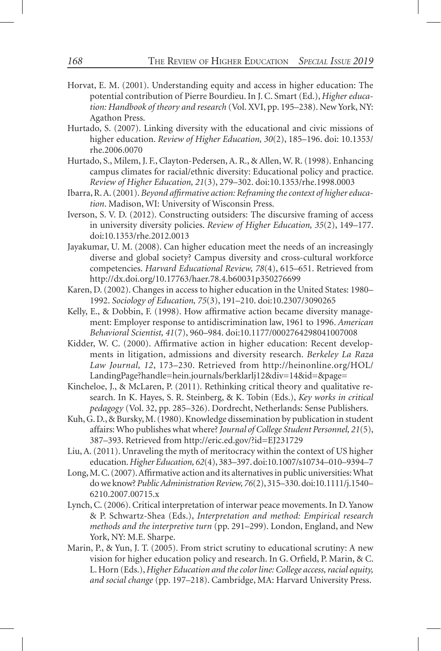- Horvat, E. M. (2001). Understanding equity and access in higher education: The potential contribution of Pierre Bourdieu. In J. C. Smart (Ed.), *Higher education: Handbook of theory and research* (Vol. XVI, pp. 195–238). New York, NY: Agathon Press.
- Hurtado, S. (2007). Linking diversity with the educational and civic missions of higher education. *Review of Higher Education, 30*(2), 185–196. doi: 10.1353/ rhe.2006.0070
- Hurtado, S., Milem, J. F., Clayton-Pedersen, A. R., & Allen, W. R. (1998). Enhancing campus climates for racial/ethnic diversity: Educational policy and practice. *Review of Higher Education, 21*(3), 279–302. doi:10.1353/rhe.1998.0003
- Ibarra, R. A. (2001). *Beyond affirmative action: Reframing the context of higher education*. Madison, WI: University of Wisconsin Press.
- Iverson, S. V. D. (2012). Constructing outsiders: The discursive framing of access in university diversity policies. *Review of Higher Education, 35*(2), 149–177. doi:10.1353/rhe.2012.0013
- Jayakumar, U. M. (2008). Can higher education meet the needs of an increasingly diverse and global society? Campus diversity and cross-cultural workforce competencies. *Harvard Educational Review, 78*(4), 615–651. Retrieved from <http://dx.doi.org/10.17763/haer.78.4.b60031p350276699>
- Karen, D. (2002). Changes in access to higher education in the United States: 1980– 1992. *Sociology of Education, 75*(3), 191–210. doi:10.2307/3090265
- Kelly, E., & Dobbin, F. (1998). How affirmative action became diversity management: Employer response to antidiscrimination law, 1961 to 1996. *American Behavioral Scientist, 41*(7), 960–984. doi:10.1177/0002764298041007008
- Kidder, W. C. (2000). Affirmative action in higher education: Recent developments in litigation, admissions and diversity research. *Berkeley La Raza Law Journal, 12*, 173–230. Retrieved from [http://heinonline.org/HOL/](http://heinonline.org/HOL/LandingPage?handle=hein.journals/berklarlj12&div=14&id=&page=) [LandingPage?handle=hein.journals/berklarlj12&div=14&id=&page=](http://heinonline.org/HOL/LandingPage?handle=hein.journals/berklarlj12&div=14&id=&page=)
- Kincheloe, J., & McLaren, P. (2011). Rethinking critical theory and qualitative research. In K. Hayes, S. R. Steinberg, & K. Tobin (Eds.), *Key works in critical pedagogy* (Vol. 32, pp. 285–326). Dordrecht, Netherlands: Sense Publishers.
- Kuh, G. D., & Bursky, M. (1980). Knowledge dissemination by publication in student affairs: Who publishes what where? *Journal of College Student Personnel, 21*(5), 387–393. Retrieved from <http://eric.ed.gov/?id=EJ231729>
- Liu, A. (2011). Unraveling the myth of meritocracy within the context of US higher education. *Higher Education, 62*(4), 383–397. doi:10.1007/s10734–010–9394–7
- Long, M. C. (2007). Affirmative action and its alternatives in public universities: What do we know? *Public Administration Review, 76*(2), 315–330. doi:10.1111/j.1540– 6210.2007.00715.x
- Lynch, C. (2006). Critical interpretation of interwar peace movements. In D. Yanow & P. Schwartz-Shea (Eds.), *Interpretation and method: Empirical research methods and the interpretive turn* (pp. 291–299). London, England, and New York, NY: M.E. Sharpe.
- Marin, P., & Yun, J. T. (2005). From strict scrutiny to educational scrutiny: A new vision for higher education policy and research. In G. Orfield, P. Marin, & C. L. Horn (Eds.), *Higher Education and the color line: College access, racial equity, and social change* (pp. 197–218). Cambridge, MA: Harvard University Press.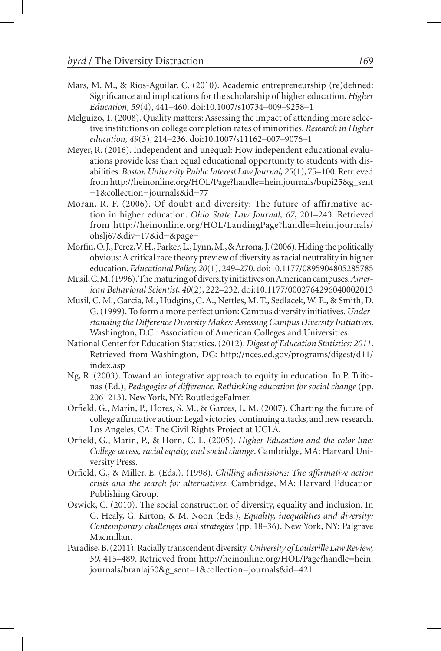- Mars, M. M., & Rios-Aguilar, C. (2010). Academic entrepreneurship (re)defined: Significance and implications for the scholarship of higher education. *Higher Education, 59*(4), 441–460. doi:10.1007/s10734–009–9258–1
- Melguizo, T. (2008). Quality matters: Assessing the impact of attending more selective institutions on college completion rates of minorities. *Research in Higher education, 49*(3), 214–236. doi:10.1007/s11162–007–9076–1
- Meyer, R. (2016). Independent and unequal: How independent educational evaluations provide less than equal educational opportunity to students with disabilities. *Boston University Public Interest Law Journal, 25*(1), 75–100. Retrieved from [http://heinonline.org/HOL/Page?handle=hein.journals/bupi25&g\\_sent](http://heinonline.org/HOL/Page?handle=hein.journals/bupi25&g_sent=1&collection=journals&id=77) [=1&collection=journals&id=77](http://heinonline.org/HOL/Page?handle=hein.journals/bupi25&g_sent=1&collection=journals&id=77)
- Moran, R. F. (2006). Of doubt and diversity: The future of affirmative action in higher education. *Ohio State Law Journal, 67*, 201–243. Retrieved from [http://heinonline.org/HOL/LandingPage?handle=hein.journals/](http://heinonline.org/HOL/LandingPage?handle=hein.journals/ohslj67&div=17&id=&page=) [ohslj67&div=17&id=&page=](http://heinonline.org/HOL/LandingPage?handle=hein.journals/ohslj67&div=17&id=&page=)
- Morfin, O. J., Perez, V. H., Parker, L., Lynn, M., & Arrona, J. (2006). Hiding the politically obvious: A critical race theory preview of diversity as racial neutrality in higher education. *Educational Policy, 20*(1), 249–270. doi:10.1177/0895904805285785
- Musil, C. M. (1996). The maturing of diversity initiatives on American campuses. *American Behavioral Scientist, 40*(2), 222–232. doi:10.1177/0002764296040002013
- Musil, C. M., Garcia, M., Hudgins, C. A., Nettles, M. T., Sedlacek, W. E., & Smith, D. G. (1999). To form a more perfect union: Campus diversity initiatives. *Understanding the Difference Diversity Makes: Assessing Campus Diversity Initiatives*. Washington, D.C.: Association of American Colleges and Universities.
- National Center for Education Statistics. (2012). *Digest of Education Statistics: 2011*. Retrieved from Washington, DC: [http://nces.ed.gov/programs/digest/d11/](http://nces.ed.gov/programs/digest/d11/index.asp) [index.asp](http://nces.ed.gov/programs/digest/d11/index.asp)
- Ng, R. (2003). Toward an integrative approach to equity in education. In P. Trifonas (Ed.), *Pedagogies of difference: Rethinking education for social change* (pp. 206–213). New York, NY: RoutledgeFalmer.
- Orfield, G., Marin, P., Flores, S. M., & Garces, L. M. (2007). Charting the future of college affirmative action: Legal victories, continuing attacks, and new research. Los Angeles, CA: The Civil Rights Project at UCLA.
- Orfield, G., Marin, P., & Horn, C. L. (2005). *Higher Education and the color line: College access, racial equity, and social change*. Cambridge, MA: Harvard University Press.
- Orfield, G., & Miller, E. (Eds.). (1998). *Chilling admissions: The affirmative action crisis and the search for alternatives*. Cambridge, MA: Harvard Education Publishing Group.
- Oswick, C. (2010). The social construction of diversity, equality and inclusion. In G. Healy, G. Kirton, & M. Noon (Eds.), *Equality, inequalities and diversity: Contemporary challenges and strategies* (pp. 18–36). New York, NY: Palgrave Macmillan.
- Paradise, B. (2011). Racially transcendent diversity. *University of Louisville Law Review, 50*, 415–489. Retrieved from [http://heinonline.org/HOL/Page?handle=hein.](http://heinonline.org/HOL/Page?handle=hein.journals/branlaj50&g_sent=1&collection=journals&id=421) [journals/branlaj50&g\\_sent=1&collection=journals&id=421](http://heinonline.org/HOL/Page?handle=hein.journals/branlaj50&g_sent=1&collection=journals&id=421)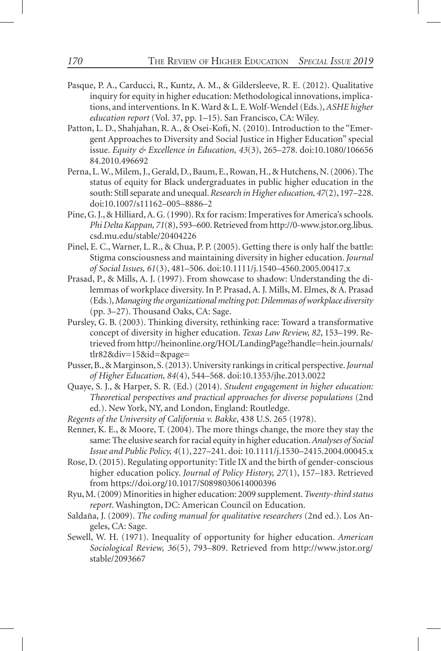- Pasque, P. A., Carducci, R., Kuntz, A. M., & Gildersleeve, R. E. (2012). Qualitative inquiry for equity in higher education: Methodological innovations, implications, and interventions. In K. Ward & L. E. Wolf-Wendel (Eds.), *ASHE higher education report* (Vol. 37, pp. 1–15). San Francisco, CA: Wiley.
- Patton, L. D., Shahjahan, R. A., & Osei-Kofi, N. (2010). Introduction to the "Emergent Approaches to Diversity and Social Justice in Higher Education" special issue. *Equity & Excellence in Education, 43*(3), 265–278. doi:10.1080/106656 84.2010.496692
- Perna, L. W., Milem, J., Gerald, D., Baum, E., Rowan, H., & Hutchens, N. (2006). The status of equity for Black undergraduates in public higher education in the south: Still separate and unequal. *Research in Higher education, 47*(2), 197–228. doi:10.1007/s11162–005–8886–2
- Pine, G. J., & Hilliard, A. G. (1990). Rx for racism: Imperatives for America's schools. *Phi Delta Kappan, 71*(8), 593–600. Retrieved from [http://0-www.jstor.org.libus.](http://0-www.jstor.org.libus.csd.mu.edu/stable/20404226) [csd.mu.edu/stable/20404226](http://0-www.jstor.org.libus.csd.mu.edu/stable/20404226)
- Pinel, E. C., Warner, L. R., & Chua, P. P. (2005). Getting there is only half the battle: Stigma consciousness and maintaining diversity in higher education. *Journal of Social Issues, 61*(3), 481–506. doi:10.1111/j.1540–4560.2005.00417.x
- Prasad, P., & Mills, A. J. (1997). From showcase to shadow: Understanding the dilemmas of workplace diversity. In P. Prasad, A. J. Mills, M. Elmes, & A. Prasad (Eds.), *Managing the organizational melting pot: Dilemmas of workplace diversity* (pp. 3–27). Thousand Oaks, CA: Sage.
- Pursley, G. B. (2003). Thinking diversity, rethinking race: Toward a transformative concept of diversity in higher education. *Texas Law Review, 82*, 153–199. Retrieved from [http://heinonline.org/HOL/LandingPage?handle=hein.journals/](http://heinonline.org/HOL/LandingPage?handle=hein.journals/tlr82&div=15&id=&page=) [tlr82&div=15&id=&page=](http://heinonline.org/HOL/LandingPage?handle=hein.journals/tlr82&div=15&id=&page=)
- Pusser, B., & Marginson, S. (2013). University rankings in critical perspective. *Journal of Higher Education, 84*(4), 544–568. doi:10.1353/jhe.2013.0022
- Quaye, S. J., & Harper, S. R. (Ed.) (2014). *Student engagement in higher education: Theoretical perspectives and practical approaches for diverse populations* (2nd ed.). New York, NY, and London, England: Routledge.
- *Regents of the University of California v. Bakke*, 438 U.S. 265 (1978).
- Renner, K. E., & Moore, T. (2004). The more things change, the more they stay the same: The elusive search for racial equity in higher education. *Analyses of Social Issue and Public Policy, 4*(1), 227–241. doi: 10.1111/j.1530–2415.2004.00045.x
- Rose, D. (2015). Regulating opportunity: Title IX and the birth of gender-conscious higher education policy. *Journal of Policy History, 27*(1), 157–183. Retrieved from<https://doi.org/10.1017/S0898030614000396>
- Ryu, M. (2009) Minorities in higher education: 2009 supplement. *Twenty-third status report*. Washington, DC: American Council on Education.
- Saldaña, J. (2009). *The coding manual for qualitative researchers* (2nd ed.). Los Angeles, CA: Sage.
- Sewell, W. H. (1971). Inequality of opportunity for higher education. *American Sociological Review, 36*(5), 793–809. Retrieved from [http://www.jstor.org/](http://www.jstor.org/stable/2093667) [stable/2093667](http://www.jstor.org/stable/2093667)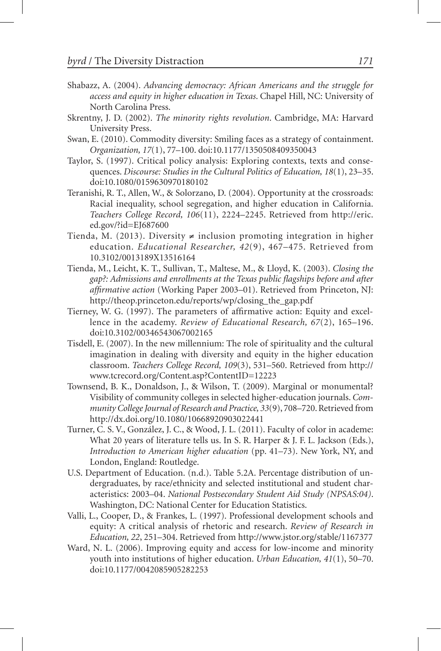- Shabazz, A. (2004). *Advancing democracy: African Americans and the struggle for access and equity in higher education in Texas*. Chapel Hill, NC: University of North Carolina Press.
- Skrentny, J. D. (2002). *The minority rights revolution*. Cambridge, MA: Harvard University Press.
- Swan, E. (2010). Commodity diversity: Smiling faces as a strategy of containment. *Organization, 17*(1), 77–100. doi:10.1177/1350508409350043
- Taylor, S. (1997). Critical policy analysis: Exploring contexts, texts and consequences. *Discourse: Studies in the Cultural Politics of Education, 18*(1), 23–35. doi:10.1080/0159630970180102
- Teranishi, R. T., Allen, W., & Solorzano, D. (2004). Opportunity at the crossroads: Racial inequality, school segregation, and higher education in California. *Teachers College Record, 106*(11), 2224–2245. Retrieved from [http://eric.](http://eric.ed.gov/?id=EJ687600) [ed.gov/?id=EJ687600](http://eric.ed.gov/?id=EJ687600)
- Tienda, M. (2013). Diversity ≠ inclusion promoting integration in higher education. *Educational Researcher, 42*(9), 467–475. Retrieved from 10.3102/0013189X13516164
- Tienda, M., Leicht, K. T., Sullivan, T., Maltese, M., & Lloyd, K. (2003). *Closing the gap?: Admissions and enrollments at the Texas public flagships before and after affirmative action* (Working Paper 2003–01). Retrieved from Princeton, NJ: [http://theop.princeton.edu/reports/wp/closing\\_the\\_gap.pdf](http://theop.princeton.edu/reports/wp/closing_the_gap.pdf)
- Tierney, W. G. (1997). The parameters of affirmative action: Equity and excellence in the academy. *Review of Educational Research, 67*(2), 165–196. doi:10.3102/00346543067002165
- Tisdell, E. (2007). In the new millennium: The role of spirituality and the cultural imagination in dealing with diversity and equity in the higher education classroom. *Teachers College Record, 109*(3), 531–560. Retrieved from [http://](http://www.tcrecord.org/Content.asp?ContentID=12223) [www.tcrecord.org/Content.asp?ContentID=12223](http://www.tcrecord.org/Content.asp?ContentID=12223)
- Townsend, B. K., Donaldson, J., & Wilson, T. (2009). Marginal or monumental? Visibility of community colleges in selected higher-education journals. *Community College Journal of Research and Practice, 33*(9), 708–720. Retrieved from <http://dx.doi.org/10.1080/10668920903022441>
- Turner, C. S. V., González, J. C., & Wood, J. L. (2011). Faculty of color in academe: What 20 years of literature tells us. In S. R. Harper & J. F. L. Jackson (Eds.), *Introduction to American higher education* (pp. 41–73). New York, NY, and London, England: Routledge.
- U.S. Department of Education. (n.d.). Table 5.2A. Percentage distribution of undergraduates, by race/ethnicity and selected institutional and student characteristics: 2003–04. *National Postsecondary Student Aid Study (NPSAS:04)*. Washington, DC: National Center for Education Statistics.
- Valli, L., Cooper, D., & Frankes, L. (1997). Professional development schools and equity: A critical analysis of rhetoric and research. *Review of Research in Education, 22*, 251–304. Retrieved from <http://www.jstor.org/stable/1167377>
- Ward, N. L. (2006). Improving equity and access for low-income and minority youth into institutions of higher education. *Urban Education, 41*(1), 50–70. doi:10.1177/0042085905282253